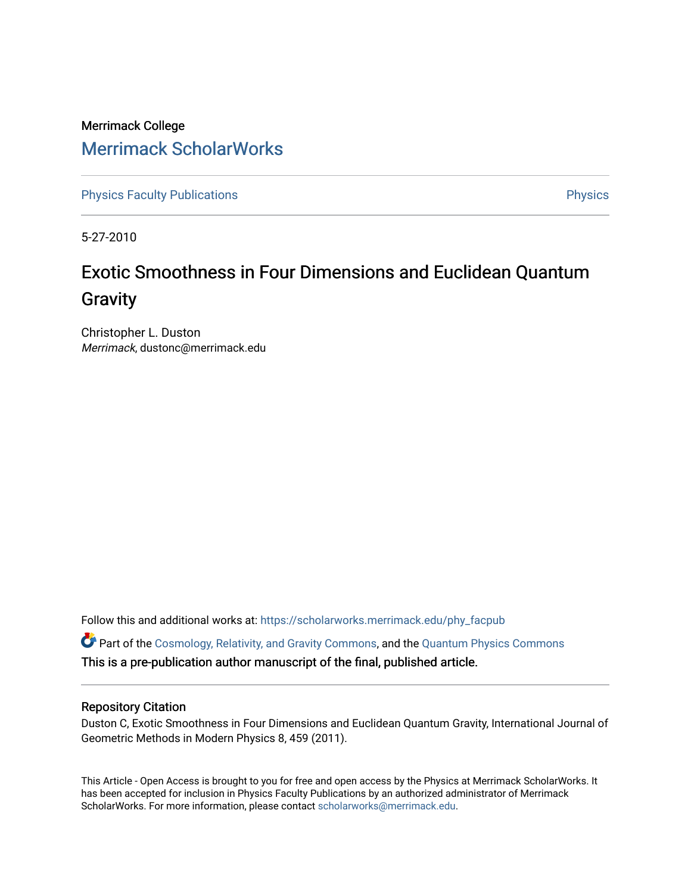Merrimack College [Merrimack ScholarWorks](https://scholarworks.merrimack.edu/) 

[Physics Faculty Publications](https://scholarworks.merrimack.edu/phy_facpub) **Physics** [Physics](https://scholarworks.merrimack.edu/phy) Physics

5-27-2010

# Exotic Smoothness in Four Dimensions and Euclidean Quantum **Gravity**

Christopher L. Duston Merrimack, dustonc@merrimack.edu

Follow this and additional works at: [https://scholarworks.merrimack.edu/phy\\_facpub](https://scholarworks.merrimack.edu/phy_facpub?utm_source=scholarworks.merrimack.edu%2Fphy_facpub%2F1&utm_medium=PDF&utm_campaign=PDFCoverPages) 

Part of the [Cosmology, Relativity, and Gravity Commons,](http://network.bepress.com/hgg/discipline/129?utm_source=scholarworks.merrimack.edu%2Fphy_facpub%2F1&utm_medium=PDF&utm_campaign=PDFCoverPages) and the [Quantum Physics Commons](http://network.bepress.com/hgg/discipline/206?utm_source=scholarworks.merrimack.edu%2Fphy_facpub%2F1&utm_medium=PDF&utm_campaign=PDFCoverPages) This is a pre-publication author manuscript of the final, published article.

# Repository Citation

Duston C, Exotic Smoothness in Four Dimensions and Euclidean Quantum Gravity, International Journal of Geometric Methods in Modern Physics 8, 459 (2011).

This Article - Open Access is brought to you for free and open access by the Physics at Merrimack ScholarWorks. It has been accepted for inclusion in Physics Faculty Publications by an authorized administrator of Merrimack ScholarWorks. For more information, please contact [scholarworks@merrimack.edu.](mailto:scholarworks@merrimack.edu)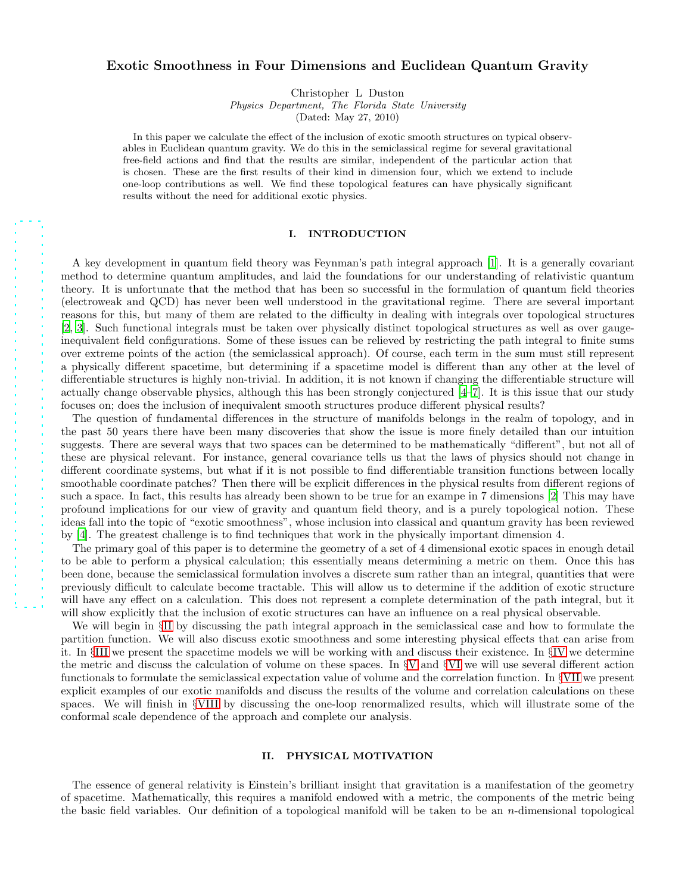## Exotic Smoothness in Four Dimensions and Euclidean Quantum Gravity

Christopher L Duston

Physics Department, The Florida State University

(Dated: May 27, 2010)

In this paper we calculate the effect of the inclusion of exotic smooth structures on typical observables in Euclidean quantum gravity. We do this in the semiclassical regime for several gravitational free-field actions and find that the results are similar, independent of the particular action that is chosen. These are the first results of their kind in dimension four, which we extend to include one-loop contributions as well. We find these topological features can have physically significant results without the need for additional exotic physics.

### I. INTRODUCTION

A key development in quantum field theory was Feynman's path integral approach [\[1](#page-17-0)]. It is a generally covariant method to determine quantum amplitudes, and laid the foundations for our understanding of relativistic quantum theory. It is unfortunate that the method that has been so successful in the formulation of quantum field theories (electroweak and QCD) has never been well understood in the gravitational regime. There are several important reasons for this, but many of them are related to the difficulty in dealing with integrals over topological structures [\[2,](#page-17-1) [3](#page-17-2)]. Such functional integrals must be taken over physically distinct topological structures as well as over gaugeinequivalent field configurations. Some of these issues can be relieved by restricting the path integral to finite sums over extreme points of the action (the semiclassical approach). Of course, each term in the sum must still represent a physically different spacetime, but determining if a spacetime model is different than any other at the level of differentiable structures is highly non-trivial. In addition, it is not known if changing the differentiable structure will actually change observable physics, although this has been strongly conjectured [\[4](#page-17-3)[–7\]](#page-17-4). It is this issue that our study focuses on; does the inclusion of inequivalent smooth structures produce different physical results?

The question of fundamental differences in the structure of manifolds belongs in the realm of topology, and in the past 50 years there have been many discoveries that show the issue is more finely detailed than our intuition suggests. There are several ways that two spaces can be determined to be mathematically "different", but not all of these are physical relevant. For instance, general covariance tells us that the laws of physics should not change in different coordinate systems, but what if it is not possible to find differentiable transition functions between locally smoothable coordinate patches? Then there will be explicit differences in the physical results from different regions of such a space. In fact, this results has already been shown to be true for an exampe in 7 dimensions [\[2\]](#page-17-1) This may have profound implications for our view of gravity and quantum field theory, and is a purely topological notion. These ideas fall into the topic of "exotic smoothness", whose inclusion into classical and quantum gravity has been reviewed by [\[4\]](#page-17-3). The greatest challenge is to find techniques that work in the physically important dimension 4.

The primary goal of this paper is to determine the geometry of a set of 4 dimensional exotic spaces in enough detail to be able to perform a physical calculation; this essentially means determining a metric on them. Once this has been done, because the semiclassical formulation involves a discrete sum rather than an integral, quantities that were previously difficult to calculate become tractable. This will allow us to determine if the addition of exotic structure will have any effect on a calculation. This does not represent a complete determination of the path integral, but it will show explicitly that the inclusion of exotic structures can have an influence on a real physical observable.

We will begin in §[II](#page-1-0) by discussing the path integral approach in the semiclassical case and how to formulate the partition function. We will also discuss exotic smoothness and some interesting physical effects that can arise from it. In §[III](#page-3-0) we present the spacetime models we will be working with and discuss their existence. In §[IV](#page-4-0) we determine the metric and discuss the calculation of volume on these spaces. In §[V](#page-7-0) and §[VI](#page-11-0) we will use several different action functionals to formulate the semiclassical expectation value of volume and the correlation function. In §[VII](#page-12-0) we present explicit examples of our exotic manifolds and discuss the results of the volume and correlation calculations on these spaces. We will finish in §[VIII](#page-13-0) by discussing the one-loop renormalized results, which will illustrate some of the conformal scale dependence of the approach and complete our analysis.

## <span id="page-1-0"></span>II. PHYSICAL MOTIVATION

The essence of general relativity is Einstein's brilliant insight that gravitation is a manifestation of the geometry of spacetime. Mathematically, this requires a manifold endowed with a metric, the components of the metric being the basic field variables. Our definition of a topological manifold will be taken to be an  $n$ -dimensional topological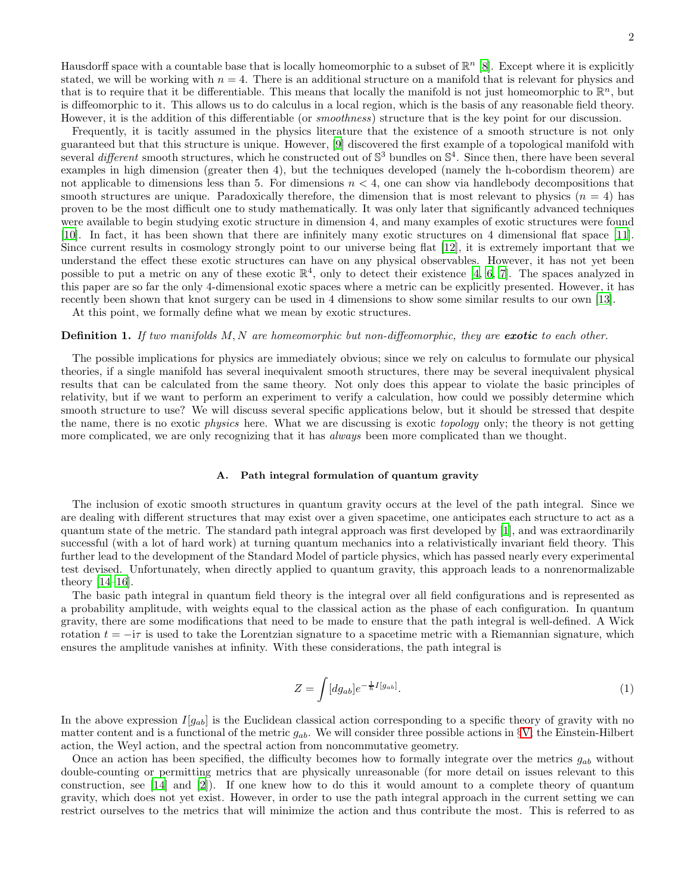Hausdorff space with a countable base that is locally homeomorphic to a subset of  $\mathbb{R}^n$  [\[8](#page-17-5)]. Except where it is explicitly stated, we will be working with  $n = 4$ . There is an additional structure on a manifold that is relevant for physics and that is to require that it be differentiable. This means that locally the manifold is not just homeomorphic to  $\mathbb{R}^n$ , but is diffeomorphic to it. This allows us to do calculus in a local region, which is the basis of any reasonable field theory. However, it is the addition of this differentiable (or *smoothness*) structure that is the key point for our discussion.

Frequently, it is tacitly assumed in the physics literature that the existence of a smooth structure is not only guaranteed but that this structure is unique. However, [\[9\]](#page-17-6) discovered the first example of a topological manifold with several *different* smooth structures, which he constructed out of  $\mathbb{S}^3$  bundles on  $\mathbb{S}^4$ . Since then, there have been several examples in high dimension (greater then 4), but the techniques developed (namely the h-cobordism theorem) are not applicable to dimensions less than 5. For dimensions  $n < 4$ , one can show via handlebody decompositions that smooth structures are unique. Paradoxically therefore, the dimension that is most relevant to physics  $(n = 4)$  has proven to be the most difficult one to study mathematically. It was only later that significantly advanced techniques were available to begin studying exotic structure in dimension 4, and many examples of exotic structures were found [\[10\]](#page-17-7). In fact, it has been shown that there are infinitely many exotic structures on 4 dimensional flat space [\[11\]](#page-17-8). Since current results in cosmology strongly point to our universe being flat [\[12\]](#page-17-9), it is extremely important that we understand the effect these exotic structures can have on any physical observables. However, it has not yet been possible to put a metric on any of these exotic  $\mathbb{R}^4$ , only to detect their existence [\[4,](#page-17-3) [6,](#page-17-10) [7](#page-17-4)]. The spaces analyzed in this paper are so far the only 4-dimensional exotic spaces where a metric can be explicitly presented. However, it has recently been shown that knot surgery can be used in 4 dimensions to show some similar results to our own [\[13](#page-17-11)].

At this point, we formally define what we mean by exotic structures.

#### **Definition 1.** If two manifolds  $M, N$  are homeomorphic but non-diffeomorphic, they are **exotic** to each other.

The possible implications for physics are immediately obvious; since we rely on calculus to formulate our physical theories, if a single manifold has several inequivalent smooth structures, there may be several inequivalent physical results that can be calculated from the same theory. Not only does this appear to violate the basic principles of relativity, but if we want to perform an experiment to verify a calculation, how could we possibly determine which smooth structure to use? We will discuss several specific applications below, but it should be stressed that despite the name, there is no exotic physics here. What we are discussing is exotic topology only; the theory is not getting more complicated, we are only recognizing that it has *always* been more complicated than we thought.

#### A. Path integral formulation of quantum gravity

The inclusion of exotic smooth structures in quantum gravity occurs at the level of the path integral. Since we are dealing with different structures that may exist over a given spacetime, one anticipates each structure to act as a quantum state of the metric. The standard path integral approach was first developed by [\[1\]](#page-17-0), and was extraordinarily successful (with a lot of hard work) at turning quantum mechanics into a relativistically invariant field theory. This further lead to the development of the Standard Model of particle physics, which has passed nearly every experimental test devised. Unfortunately, when directly applied to quantum gravity, this approach leads to a nonrenormalizable theory [\[14](#page-17-12)[–16\]](#page-17-13).

The basic path integral in quantum field theory is the integral over all field configurations and is represented as a probability amplitude, with weights equal to the classical action as the phase of each configuration. In quantum gravity, there are some modifications that need to be made to ensure that the path integral is well-defined. A Wick rotation  $t = -i\tau$  is used to take the Lorentzian signature to a spacetime metric with a Riemannian signature, which ensures the amplitude vanishes at infinity. With these considerations, the path integral is

<span id="page-2-0"></span>
$$
Z = \int [dg_{ab}] e^{-\frac{1}{\hbar}I[g_{ab}]}.
$$
\n
$$
(1)
$$

In the above expression  $I[g_{ab}]$  is the Euclidean classical action corresponding to a specific theory of gravity with no matter content and is a functional of the metric  $g_{ab}$ . We will consider three possible actions in §[V;](#page-7-0) the Einstein-Hilbert action, the Weyl action, and the spectral action from noncommutative geometry.

Once an action has been specified, the difficulty becomes how to formally integrate over the metrics  $q_{ab}$  without double-counting or permitting metrics that are physically unreasonable (for more detail on issues relevant to this construction, see [\[14](#page-17-12)] and [\[2](#page-17-1)]). If one knew how to do this it would amount to a complete theory of quantum gravity, which does not yet exist. However, in order to use the path integral approach in the current setting we can restrict ourselves to the metrics that will minimize the action and thus contribute the most. This is referred to as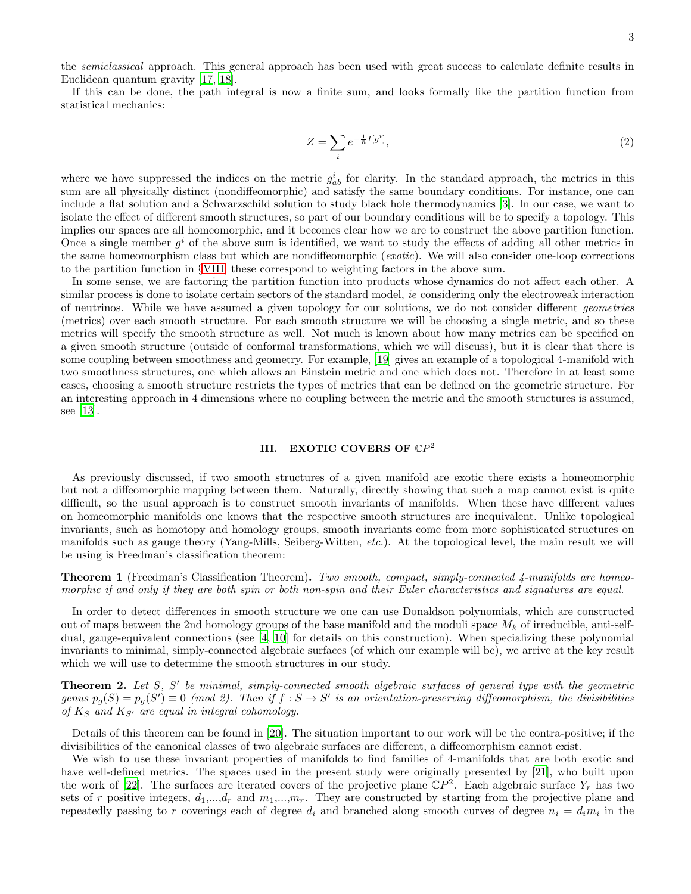the *semiclassical* approach. This general approach has been used with great success to calculate definite results in Euclidean quantum gravity [\[17,](#page-17-14) [18\]](#page-17-15).

If this can be done, the path integral is now a finite sum, and looks formally like the partition function from statistical mechanics:

<span id="page-3-2"></span>
$$
Z = \sum_{i} e^{-\frac{1}{\hbar}I[g^i]},\tag{2}
$$

where we have suppressed the indices on the metric  $g_{ab}^i$  for clarity. In the standard approach, the metrics in this sum are all physically distinct (nondiffeomorphic) and satisfy the same boundary conditions. For instance, one can include a flat solution and a Schwarzschild solution to study black hole thermodynamics [\[3](#page-17-2)]. In our case, we want to isolate the effect of different smooth structures, so part of our boundary conditions will be to specify a topology. This implies our spaces are all homeomorphic, and it becomes clear how we are to construct the above partition function. Once a single member  $g^i$  of the above sum is identified, we want to study the effects of adding all other metrics in the same homeomorphism class but which are nondiffeomorphic (exotic). We will also consider one-loop corrections to the partition function in §[VIII;](#page-13-0) these correspond to weighting factors in the above sum.

In some sense, we are factoring the partition function into products whose dynamics do not affect each other. A similar process is done to isolate certain sectors of the standard model, ie considering only the electroweak interaction of neutrinos. While we have assumed a given topology for our solutions, we do not consider different geometries (metrics) over each smooth structure. For each smooth structure we will be choosing a single metric, and so these metrics will specify the smooth structure as well. Not much is known about how many metrics can be specified on a given smooth structure (outside of conformal transformations, which we will discuss), but it is clear that there is some coupling between smoothness and geometry. For example, [\[19](#page-17-16)] gives an example of a topological 4-manifold with two smoothness structures, one which allows an Einstein metric and one which does not. Therefore in at least some cases, choosing a smooth structure restricts the types of metrics that can be defined on the geometric structure. For an interesting approach in 4 dimensions where no coupling between the metric and the smooth structures is assumed, see [\[13\]](#page-17-11).

# <span id="page-3-0"></span>III. EXOTIC COVERS OF  $\mathbb{C}P^2$

As previously discussed, if two smooth structures of a given manifold are exotic there exists a homeomorphic but not a diffeomorphic mapping between them. Naturally, directly showing that such a map cannot exist is quite difficult, so the usual approach is to construct smooth invariants of manifolds. When these have different values on homeomorphic manifolds one knows that the respective smooth structures are inequivalent. Unlike topological invariants, such as homotopy and homology groups, smooth invariants come from more sophisticated structures on manifolds such as gauge theory (Yang-Mills, Seiberg-Witten, etc.). At the topological level, the main result we will be using is Freedman's classification theorem:

**Theorem 1** (Freedman's Classification Theorem). Two smooth, compact, simply-connected 4-manifolds are homeomorphic if and only if they are both spin or both non-spin and their Euler characteristics and signatures are equal.

In order to detect differences in smooth structure we one can use Donaldson polynomials, which are constructed out of maps between the 2nd homology groups of the base manifold and the moduli space  $M_k$  of irreducible, anti-selfdual, gauge-equivalent connections (see [\[4,](#page-17-3) [10](#page-17-7)] for details on this construction). When specializing these polynomial invariants to minimal, simply-connected algebraic surfaces (of which our example will be), we arrive at the key result which we will use to determine the smooth structures in our study.

<span id="page-3-1"></span>**Theorem 2.** Let  $S$ ,  $S'$  be minimal, simply-connected smooth algebraic surfaces of general type with the geometric genus  $p_g(S) = p_g(S') \equiv 0 \pmod{2}$ . Then if  $f : S \to S'$  is an orientation-preserving diffeomorphism, the divisibilities of  $K_S$  and  $K_{S'}$  are equal in integral cohomology.

Details of this theorem can be found in [\[20\]](#page-17-17). The situation important to our work will be the contra-positive; if the divisibilities of the canonical classes of two algebraic surfaces are different, a diffeomorphism cannot exist.

We wish to use these invariant properties of manifolds to find families of 4-manifolds that are both exotic and have well-defined metrics. The spaces used in the present study were originally presented by [\[21](#page-17-18)], who built upon the work of [\[22\]](#page-17-19). The surfaces are iterated covers of the projective plane  $\mathbb{C}P^2$ . Each algebraic surface  $Y_r$  has two sets of r positive integers,  $d_1,...,d_r$  and  $m_1,...,m_r$ . They are constructed by starting from the projective plane and repeatedly passing to r coverings each of degree  $d_i$  and branched along smooth curves of degree  $n_i = d_i m_i$  in the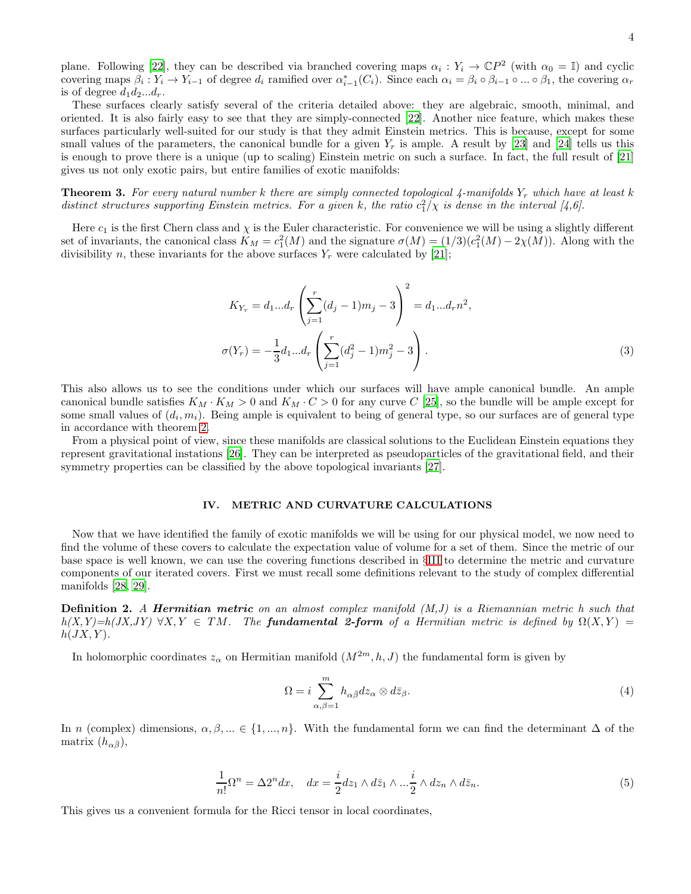plane. Following [\[22\]](#page-17-19), they can be described via branched covering maps  $\alpha_i : Y_i \to \mathbb{C}P^2$  (with  $\alpha_0 = \mathbb{I}$ ) and cyclic covering maps  $\beta_i: Y_i \to Y_{i-1}$  of degree  $d_i$  ramified over  $\alpha_{i-1}^*(C_i)$ . Since each  $\alpha_i = \beta_i \circ \beta_{i-1} \circ ... \circ \beta_1$ , the covering  $\alpha_r$ is of degree  $d_1 d_2 \dots d_r$ .

These surfaces clearly satisfy several of the criteria detailed above: they are algebraic, smooth, minimal, and oriented. It is also fairly easy to see that they are simply-connected [\[22\]](#page-17-19). Another nice feature, which makes these surfaces particularly well-suited for our study is that they admit Einstein metrics. This is because, except for some small values of the parameters, the canonical bundle for a given  $Y_r$  is ample. A result by [\[23\]](#page-17-20) and [\[24\]](#page-17-21) tells us this is enough to prove there is a unique (up to scaling) Einstein metric on such a surface. In fact, the full result of [\[21](#page-17-18)] gives us not only exotic pairs, but entire families of exotic manifolds:

<span id="page-4-2"></span>**Theorem 3.** For every natural number k there are simply connected topological 4-manifolds  $Y_r$  which have at least k distinct structures supporting Einstein metrics. For a given k, the ratio  $c_1^2/\chi$  is dense in the interval [4,6].

Here  $c_1$  is the first Chern class and  $\chi$  is the Euler characteristic. For convenience we will be using a slightly different set of invariants, the canonical class  $K_M = c_1^2(M)$  and the signature  $\sigma(M) = (1/3)(c_1^2(M) - 2\chi(M))$ . Along with the divisibility n, these invariants for the above surfaces  $Y_r$  were calculated by [\[21\]](#page-17-18);

$$
K_{Y_r} = d_1...d_r \left(\sum_{j=1}^r (d_j - 1)m_j - 3\right)^2 = d_1...d_r n^2,
$$
  

$$
\sigma(Y_r) = -\frac{1}{3}d_1...d_r \left(\sum_{j=1}^r (d_j^2 - 1)m_j^2 - 3\right).
$$
 (3)

This also allows us to see the conditions under which our surfaces will have ample canonical bundle. An ample canonical bundle satisfies  $K_M \cdot K_M > 0$  and  $K_M \cdot C > 0$  for any curve C [\[25\]](#page-17-22), so the bundle will be ample except for some small values of  $(d_i, m_i)$ . Being ample is equivalent to being of general type, so our surfaces are of general type in accordance with theorem [2.](#page-3-1)

From a physical point of view, since these manifolds are classical solutions to the Euclidean Einstein equations they represent gravitational instations [\[26\]](#page-17-23). They can be interpreted as pseudoparticles of the gravitational field, and their symmetry properties can be classified by the above topological invariants [\[27](#page-18-0)].

#### <span id="page-4-0"></span>IV. METRIC AND CURVATURE CALCULATIONS

Now that we have identified the family of exotic manifolds we will be using for our physical model, we now need to find the volume of these covers to calculate the expectation value of volume for a set of them. Since the metric of our base space is well known, we can use the covering functions described in §[III](#page-3-0) to determine the metric and curvature components of our iterated covers. First we must recall some definitions relevant to the study of complex differential manifolds [\[28,](#page-18-1) [29\]](#page-18-2).

**Definition 2.** A **Hermitian metric** on an almost complex manifold  $(M,J)$  is a Riemannian metric h such that  $h(X,Y)=h(JX,JY)$   $\forall X,Y \in TM$ . The **fundamental 2-form** of a Hermitian metric is defined by  $\Omega(X,Y)$  =  $h(JX, Y)$ .

In holomorphic coordinates  $z_{\alpha}$  on Hermitian manifold  $(M^{2m}, h, J)$  the fundamental form is given by

$$
\Omega = i \sum_{\alpha,\beta=1}^{m} h_{\alpha\bar{\beta}} dz_{\alpha} \otimes d\bar{z}_{\beta}.
$$
 (4)

In n (complex) dimensions,  $\alpha, \beta, ... \in \{1, ..., n\}$ . With the fundamental form we can find the determinant  $\Delta$  of the matrix  $(h_{\alpha\bar{\beta}}),$ 

<span id="page-4-1"></span>
$$
\frac{1}{n!}\Omega^n = \Delta 2^n dx, \quad dx = \frac{i}{2}dz_1 \wedge d\bar{z}_1 \wedge \dots \frac{i}{2} \wedge dz_n \wedge d\bar{z}_n.
$$
\n<sup>(5)</sup>

This gives us a convenient formula for the Ricci tensor in local coordinates,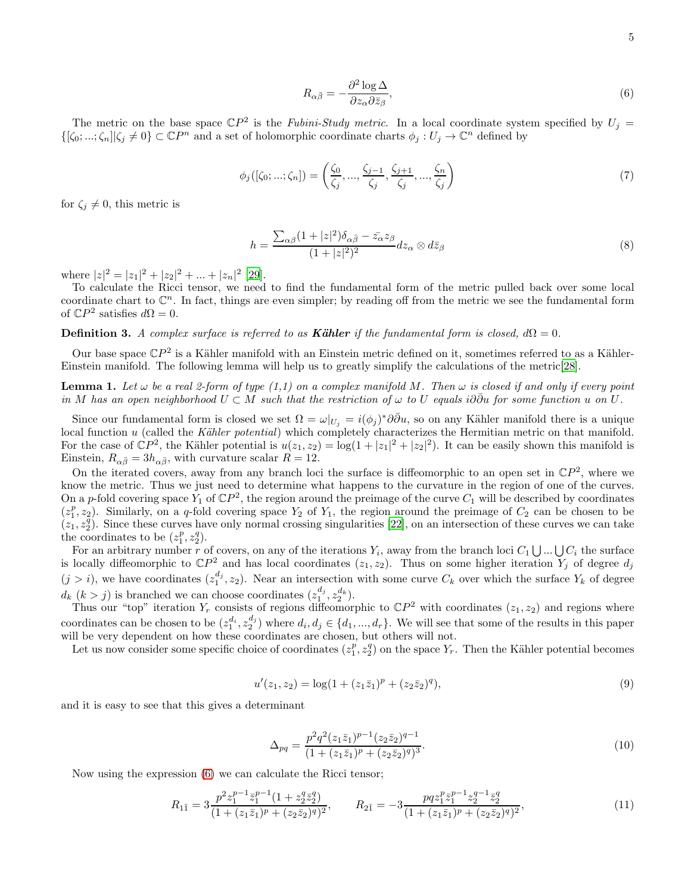<span id="page-5-0"></span>
$$
R_{\alpha\bar{\beta}} = -\frac{\partial^2 \log \Delta}{\partial z_\alpha \partial \bar{z}_\beta},\tag{6}
$$

The metric on the base space  $\mathbb{C}P^2$  is the Fubini-Study metric. In a local coordinate system specified by  $U_j =$  $\{[\zeta_0;...;\zeta_n]|\zeta_j \neq 0\} \subset \mathbb{C}P^n$  and a set of holomorphic coordinate charts  $\phi_j: U_j \to \mathbb{C}^n$  defined by

$$
\phi_j([\zeta_0; \dots; \zeta_n]) = \left(\frac{\zeta_0}{\zeta_j}, \dots, \frac{\zeta_{j-1}}{\zeta_j}, \frac{\zeta_{j+1}}{\zeta_j}, \dots, \frac{\zeta_n}{\zeta_j}\right) \tag{7}
$$

for  $\zeta_i \neq 0$ , this metric is

$$
h = \frac{\sum_{\alpha\beta} (1+|z|^2) \delta_{\alpha\bar{\beta}} - \bar{z_{\alpha}} z_{\beta}}{(1+|z|^2)^2} dz_{\alpha} \otimes d\bar{z}_{\beta}
$$
(8)

where  $|z|^2 = |z_1|^2 + |z_2|^2 + \dots + |z_n|^2$  [\[29](#page-18-2)].

To calculate the Ricci tensor, we need to find the fundamental form of the metric pulled back over some local coordinate chart to  $\mathbb{C}^n$ . In fact, things are even simpler; by reading off from the metric we see the fundamental form of  $\mathbb{C}P^2$  satisfies  $d\Omega = 0$ .

**Definition 3.** A complex surface is referred to as **Kähler** if the fundamental form is closed,  $d\Omega = 0$ .

Our base space  $\mathbb{C}P^2$  is a Kähler manifold with an Einstein metric defined on it, sometimes referred to as a Kähler-Einstein manifold. The following lemma will help us to greatly simplify the calculations of the metric[\[28\]](#page-18-1).

**Lemma 1.** Let  $\omega$  be a real 2-form of type (1,1) on a complex manifold M. Then  $\omega$  is closed if and only if every point in M has an open neighborhood  $U \subset M$  such that the restriction of  $\omega$  to U equals i∂∂u for some function u on U.

Since our fundamental form is closed we set  $\Omega = \omega|_{U_j} = i(\phi_j)^* \partial \bar{\partial} u$ , so on any Kähler manifold there is a unique local function  $u$  (called the Kähler potential) which completely characterizes the Hermitian metric on that manifold. For the case of  $\mathbb{C}P^2$ , the Kähler potential is  $u(z_1, z_2) = \log(1 + |z_1|^2 + |z_2|^2)$ . It can be easily shown this manifold is Einstein,  $R_{\alpha\bar{\beta}} = 3h_{\alpha\bar{\beta}}$ , with curvature scalar  $R = 12$ .

On the iterated covers, away from any branch loci the surface is diffeomorphic to an open set in  $\mathbb{C}P^2$ , where we know the metric. Thus we just need to determine what happens to the curvature in the region of one of the curves. On a p-fold covering space  $Y_1$  of  $\mathbb{C}P^2$ , the region around the preimage of the curve  $C_1$  will be described by coordinates  $(z_1^p, z_2)$ . Similarly, on a q-fold covering space  $Y_2$  of  $Y_1$ , the region around the preimage of  $C_2$  can be chosen to be  $(z_1, z_2^{\bar{q}})$ . Since these curves have only normal crossing singularities [\[22](#page-17-19)], on an intersection of these curves we can take the coordinates to be  $(z_1^p, z_2^q)$ .

For an arbitrary number r of covers, on any of the iterations  $Y_i$ , away from the branch loci  $C_1 \bigcup ... \bigcup C_i$  the surface is locally diffeomorphic to  $\mathbb{C}P^2$  and has local coordinates  $(z_1, z_2)$ . Thus on some higher iteration  $Y_j$  of degree  $d_j$  $(j > i)$ , we have coordinates  $(z_1^{d_j}, z_2)$ . Near an intersection with some curve  $C_k$  over which the surface  $Y_k$  of degree  $d_k$   $(k > j)$  is branched we can choose coordinates  $(z_1^{d_j}, z_2^{d_k})$ .

Thus our "top" iteration  $Y_r$  consists of regions diffeomorphic to  $\mathbb{C}P^2$  with coordinates  $(z_1, z_2)$  and regions where coordinates can be chosen to be  $(z_1^{d_i}, z_2^{d_j})$  where  $d_i, d_j \in \{d_1, ..., d_r\}$ . We will see that some of the results in this paper will be very dependent on how these coordinates are chosen, but others will not.

Let us now consider some specific choice of coordinates  $(z_1^p, z_2^q)$  on the space  $Y_r$ . Then the Kähler potential becomes

$$
u'(z_1, z_2) = \log(1 + (z_1 \bar{z}_1)^p + (z_2 \bar{z}_2)^q),\tag{9}
$$

and it is easy to see that this gives a determinant

$$
\Delta_{pq} = \frac{p^2 q^2 (z_1 \bar{z}_1)^{p-1} (z_2 \bar{z}_2)^{q-1}}{(1 + (z_1 \bar{z}_1)^p + (z_2 \bar{z}_2)^q)^3}.
$$
\n(10)

Now using the expression [\(6\)](#page-5-0) we can calculate the Ricci tensor;

$$
R_{1\bar{1}} = 3\frac{p^2 z_1^{p-1} \bar{z}_1^{p-1} (1 + z_2^q \bar{z}_2^q)}{(1 + (z_1 \bar{z}_1)^p + (z_2 \bar{z}_2)^q)^2}, \qquad R_{2\bar{1}} = -3\frac{pq z_1^p \bar{z}_1^{p-1} z_2^{q-1} \bar{z}_2^q}{(1 + (z_1 \bar{z}_1)^p + (z_2 \bar{z}_2)^q)^2},
$$
(11)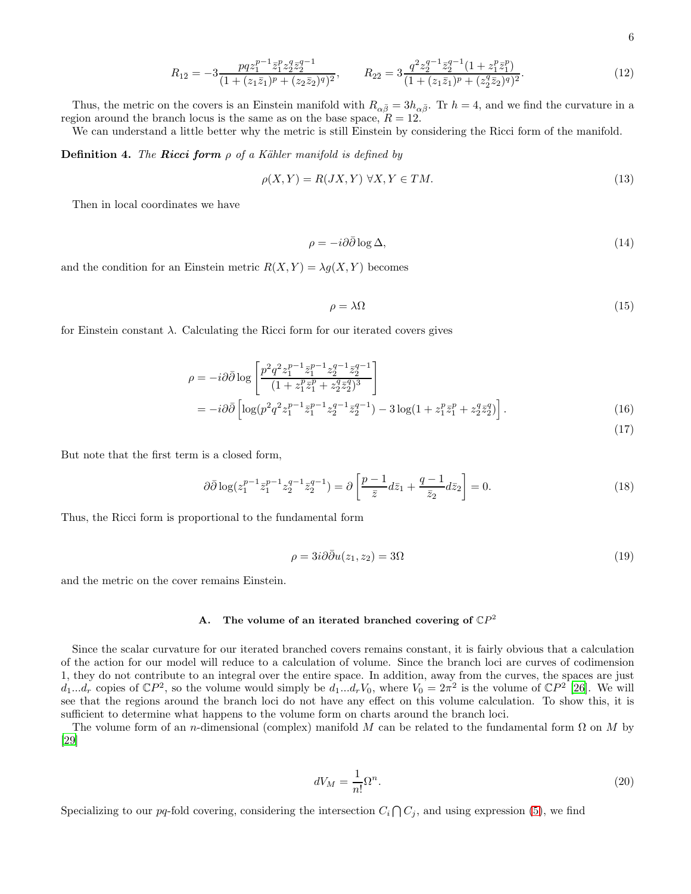$$
R_{1\bar{2}} = -3 \frac{pqz_1^{p-1}\bar{z}_1^p z_2^q \bar{z}_2^{q-1}}{(1 + (z_1\bar{z}_1)^p + (z_2\bar{z}_2)^q)^2}, \qquad R_{2\bar{2}} = 3 \frac{q^2 z_2^{q-1} \bar{z}_2^{q-1} (1 + z_1^p \bar{z}_1^p)}{(1 + (z_1\bar{z}_1)^p + (z_2^q \bar{z}_2)^q)^2}.
$$
(12)

Thus, the metric on the covers is an Einstein manifold with  $R_{\alpha\bar{\beta}} = 3h_{\alpha\bar{\beta}}$ . Tr  $h = 4$ , and we find the curvature in a region around the branch locus is the same as on the base space,  $R = 12$ .

We can understand a little better why the metric is still Einstein by considering the Ricci form of the manifold.

**Definition 4.** The **Ricci form**  $\rho$  of a Kähler manifold is defined by

$$
\rho(X,Y) = R(JX,Y) \,\,\forall X, Y \in TM. \tag{13}
$$

Then in local coordinates we have

$$
\rho = -i\partial\bar{\partial}\log\Delta,\tag{14}
$$

and the condition for an Einstein metric  $R(X, Y) = \lambda g(X, Y)$  becomes

$$
\rho = \lambda \Omega \tag{15}
$$

for Einstein constant  $\lambda$ . Calculating the Ricci form for our iterated covers gives

$$
\rho = -i\partial\bar{\partial}\log\left[\frac{p^2q^2z_1^{p-1}\bar{z}_1^{p-1}z_2^{q-1}\bar{z}_2^{q-1}}{(1+z_1^p\bar{z}_1^p+z_2^q\bar{z}_2^q)^3}\right]
$$
  
=  $-i\partial\bar{\partial}\left[\log(p^2q^2z_1^{p-1}\bar{z}_1^{p-1}z_2^{q-1}\bar{z}_2^{q-1}) - 3\log(1+z_1^p\bar{z}_1^p+z_2^q\bar{z}_2^q)\right].$  (16)

(17)

But note that the first term is a closed form,

$$
\partial \bar{\partial} \log(z_1^{p-1} \bar{z}_1^{p-1} z_2^{q-1} \bar{z}_2^{q-1}) = \partial \left[ \frac{p-1}{\bar{z}} d\bar{z}_1 + \frac{q-1}{\bar{z}_2} d\bar{z}_2 \right] = 0. \tag{18}
$$

Thus, the Ricci form is proportional to the fundamental form

$$
\rho = 3i\partial\bar{\partial}u(z_1, z_2) = 3\Omega\tag{19}
$$

and the metric on the cover remains Einstein.

# A. The volume of an iterated branched covering of  $\mathbb{C}P^2$

Since the scalar curvature for our iterated branched covers remains constant, it is fairly obvious that a calculation of the action for our model will reduce to a calculation of volume. Since the branch loci are curves of codimension 1, they do not contribute to an integral over the entire space. In addition, away from the curves, the spaces are just  $d_1...d_r$  copies of  $\mathbb{C}P^2$ , so the volume would simply be  $d_1...d_rV_0$ , where  $V_0 = 2\pi^2$  is the volume of  $\mathbb{C}P^2$  [\[26\]](#page-17-23). We will see that the regions around the branch loci do not have any effect on this volume calculation. To show this, it is sufficient to determine what happens to the volume form on charts around the branch loci.

The volume form of an n-dimensional (complex) manifold M can be related to the fundamental form  $\Omega$  on M by [\[29\]](#page-18-2)

$$
dV_M = \frac{1}{n!} \Omega^n. \tag{20}
$$

Specializing to our pq-fold covering, considering the intersection  $C_i \cap C_j$ , and using expression [\(5\)](#page-4-1), we find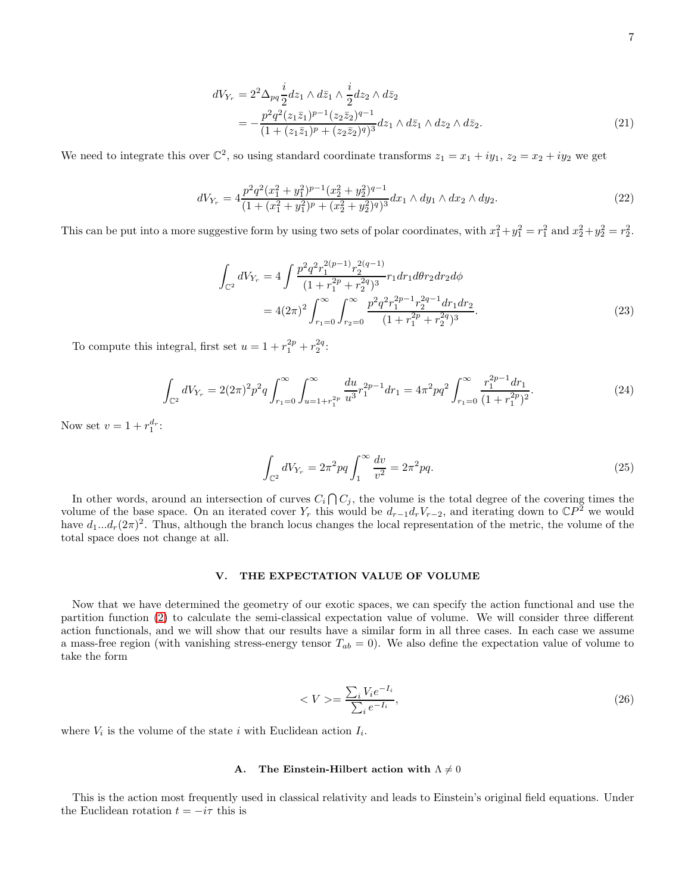$$
dV_{Y_r} = 2^2 \Delta_{pq} \frac{i}{2} dz_1 \wedge d\bar{z}_1 \wedge \frac{i}{2} dz_2 \wedge d\bar{z}_2
$$
  
= 
$$
-\frac{p^2 q^2 (z_1 \bar{z}_1)^{p-1} (z_2 \bar{z}_2)^{q-1}}{(1 + (z_1 \bar{z}_1)^p + (z_2 \bar{z}_2)^q)^3} dz_1 \wedge d\bar{z}_1 \wedge dz_2 \wedge d\bar{z}_2.
$$
 (21)

We need to integrate this over  $\mathbb{C}^2$ , so using standard coordinate transforms  $z_1 = x_1 + iy_1$ ,  $z_2 = x_2 + iy_2$  we get

$$
dV_{Y_r} = 4 \frac{p^2 q^2 (x_1^2 + y_1^2)^{p-1} (x_2^2 + y_2^2)^{q-1}}{(1 + (x_1^2 + y_1^2)^p + (x_2^2 + y_2^2)^q)^3} dx_1 \wedge dy_1 \wedge dx_2 \wedge dy_2.
$$
 (22)

This can be put into a more suggestive form by using two sets of polar coordinates, with  $x_1^2 + y_1^2 = r_1^2$  and  $x_2^2 + y_2^2 = r_2^2$ .

$$
\int_{\mathbb{C}^2} dV_{Y_r} = 4 \int \frac{p^2 q^2 r_1^{2(p-1)} r_2^{2(q-1)}}{(1 + r_1^{2p} + r_2^{2q})^3} r_1 dr_1 d\theta r_2 dr_2 d\phi
$$

$$
= 4(2\pi)^2 \int_{r_1=0}^{\infty} \int_{r_2=0}^{\infty} \frac{p^2 q^2 r_1^{2p-1} r_2^{2q-1} dr_1 dr_2}{(1 + r_1^{2p} + r_2^{2q})^3}.
$$
(23)

To compute this integral, first set  $u = 1 + r_1^{2p} + r_2^{2q}$ :

$$
\int_{\mathbb{C}^2} dV_{Y_r} = 2(2\pi)^2 p^2 q \int_{r_1=0}^{\infty} \int_{u=1+r_1^{2p}}^{\infty} \frac{du}{u^3} r_1^{2p-1} dr_1 = 4\pi^2 p q^2 \int_{r_1=0}^{\infty} \frac{r_1^{2p-1} dr_1}{(1+r_1^{2p})^2}.
$$
\n(24)

Now set  $v = 1 + r_1^{d_r}$ :

$$
\int_{\mathbb{C}^2} dV_{Y_r} = 2\pi^2 pq \int_1^{\infty} \frac{dv}{v^2} = 2\pi^2 pq. \tag{25}
$$

In other words, around an intersection of curves  $C_i \cap C_j$ , the volume is the total degree of the covering times the volume of the base space. On an iterated cover  $Y_r$  this would be  $d_{r-1}d_rV_{r-2}$ , and iterating down to  $\mathbb{C}P^{\mathbb{Z}}$  we would have  $d_1...d_r(2\pi)^2$ . Thus, although the branch locus changes the local representation of the metric, the volume of the total space does not change at all.

#### <span id="page-7-0"></span>V. THE EXPECTATION VALUE OF VOLUME

Now that we have determined the geometry of our exotic spaces, we can specify the action functional and use the partition function [\(2\)](#page-3-2) to calculate the semi-classical expectation value of volume. We will consider three different action functionals, and we will show that our results have a similar form in all three cases. In each case we assume a mass-free region (with vanishing stress-energy tensor  $T_{ab} = 0$ ). We also define the expectation value of volume to take the form

$$
\langle V \rangle = \frac{\sum_{i} V_i e^{-I_i}}{\sum_{i} e^{-I_i}},\tag{26}
$$

where  $V_i$  is the volume of the state i with Euclidean action  $I_i$ .

## <span id="page-7-1"></span>A. The Einstein-Hilbert action with  $\Lambda \neq 0$

This is the action most frequently used in classical relativity and leads to Einstein's original field equations. Under the Euclidean rotation  $t = -i\tau$  this is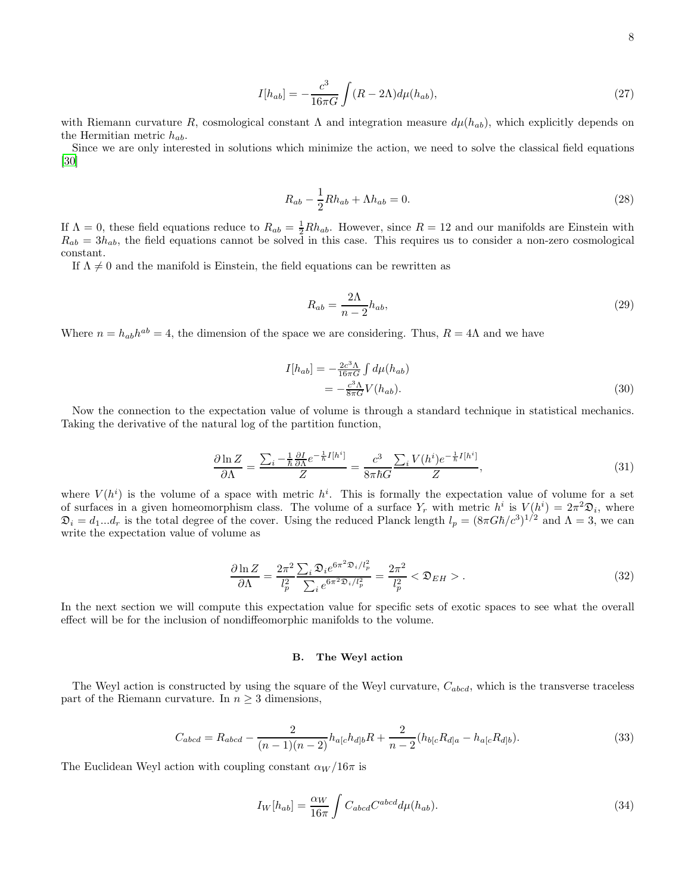$$
I[h_{ab}] = -\frac{c^3}{16\pi G} \int (R - 2\Lambda) d\mu(h_{ab}),\tag{27}
$$

with Riemann curvature R, cosmological constant  $\Lambda$  and integration measure  $d\mu(h_{ab})$ , which explicitly depends on the Hermitian metric  $h_{ab}$ .

Since we are only interested in solutions which minimize the action, we need to solve the classical field equations [\[30\]](#page-18-3)

$$
R_{ab} - \frac{1}{2}Rh_{ab} + \Lambda h_{ab} = 0.
$$
 (28)

If  $\Lambda = 0$ , these field equations reduce to  $R_{ab} = \frac{1}{2}Rh_{ab}$ . However, since  $R = 12$  and our manifolds are Einstein with  $R_{ab} = 3h_{ab}$ , the field equations cannot be solved in this case. This requires us to consider a non-zero cosmological constant.

If  $\Lambda \neq 0$  and the manifold is Einstein, the field equations can be rewritten as

$$
R_{ab} = \frac{2\Lambda}{n-2}h_{ab},\tag{29}
$$

Where  $n = h_{ab}h^{ab} = 4$ , the dimension of the space we are considering. Thus,  $R = 4\Lambda$  and we have

$$
I[h_{ab}] = -\frac{2c^3 \Lambda}{16\pi G} \int d\mu(h_{ab})
$$
  
= 
$$
-\frac{c^3 \Lambda}{8\pi G} V(h_{ab}).
$$
 (30)

Now the connection to the expectation value of volume is through a standard technique in statistical mechanics. Taking the derivative of the natural log of the partition function,

$$
\frac{\partial \ln Z}{\partial \Lambda} = \frac{\sum_{i} - \frac{1}{\hbar} \frac{\partial I}{\partial \Lambda} e^{-\frac{1}{\hbar} I[h^i]}}{Z} = \frac{c^3}{8\pi \hbar G} \frac{\sum_{i} V(h^i) e^{-\frac{1}{\hbar} I[h^i]}}{Z},\tag{31}
$$

where  $V(h^i)$  is the volume of a space with metric  $h^i$ . This is formally the expectation value of volume for a set of surfaces in a given homeomorphism class. The volume of a surface  $Y_r$  with metric  $h^i$  is  $V(h^i) = 2\pi^2 \mathfrak{D}_i$ , where  $\mathfrak{D}_i = d_1...d_r$  is the total degree of the cover. Using the reduced Planck length  $l_p = (8\pi G\hbar/c^3)^{1/2}$  and  $\Lambda = 3$ , we can write the expectation value of volume as

$$
\frac{\partial \ln Z}{\partial \Lambda} = \frac{2\pi^2}{l_p^2} \frac{\sum_i \mathfrak{D}_i e^{6\pi^2 \mathfrak{D}_i/l_p^2}}{\sum_i e^{6\pi^2 \mathfrak{D}_i/l_p^2}} = \frac{2\pi^2}{l_p^2} < \mathfrak{D}_{EH} > .
$$
\n(32)

In the next section we will compute this expectation value for specific sets of exotic spaces to see what the overall effect will be for the inclusion of nondiffeomorphic manifolds to the volume.

#### B. The Weyl action

The Weyl action is constructed by using the square of the Weyl curvature,  $C_{abcd}$ , which is the transverse traceless part of the Riemann curvature. In  $n \geq 3$  dimensions,

$$
C_{abcd} = R_{abcd} - \frac{2}{(n-1)(n-2)} h_{a[c} h_{d]b} R + \frac{2}{n-2} (h_{b[c} R_{d]a} - h_{a[c} R_{d]b}).
$$
\n(33)

The Euclidean Weyl action with coupling constant  $\alpha_W/16\pi$  is

$$
I_W[h_{ab}] = \frac{\alpha_W}{16\pi} \int C_{abcd} C^{abcd} d\mu(h_{ab}).
$$
\n(34)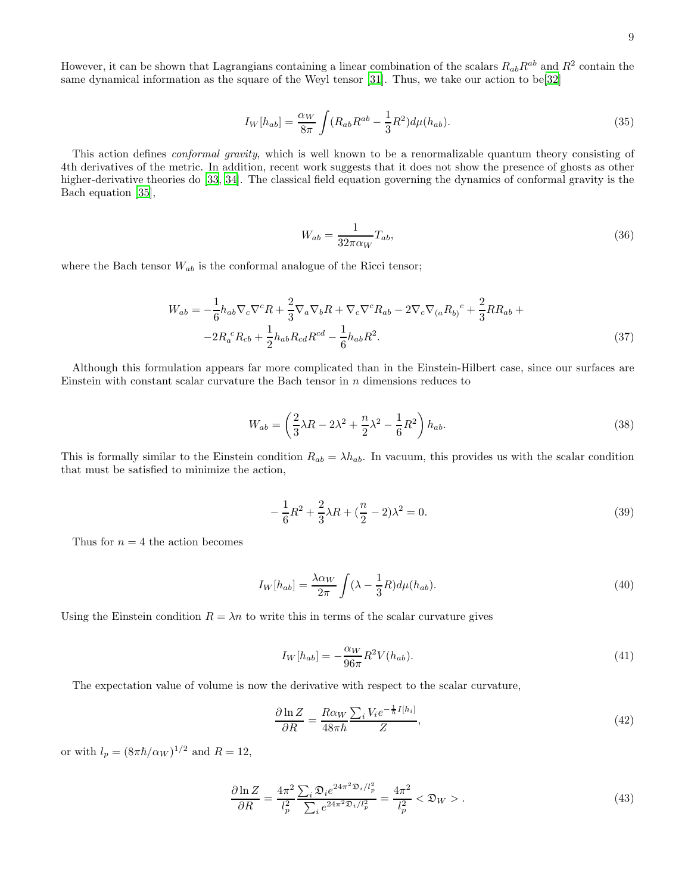However, it can be shown that Lagrangians containing a linear combination of the scalars  $R_{ab}R^{ab}$  and  $R^2$  contain the same dynamical information as the square of the Weyl tensor [\[31\]](#page-18-4). Thus, we take our action to be[\[32\]](#page-18-5)

$$
I_W[h_{ab}] = \frac{\alpha_W}{8\pi} \int (R_{ab}R^{ab} - \frac{1}{3}R^2) d\mu(h_{ab}).
$$
\n(35)

This action defines *conformal gravity*, which is well known to be a renormalizable quantum theory consisting of 4th derivatives of the metric. In addition, recent work suggests that it does not show the presence of ghosts as other higher-derivative theories do [\[33,](#page-18-6) [34\]](#page-18-7). The classical field equation governing the dynamics of conformal gravity is the Bach equation [\[35\]](#page-18-8),

$$
W_{ab} = \frac{1}{32\pi\alpha_W} T_{ab},\tag{36}
$$

where the Bach tensor  $W_{ab}$  is the conformal analogue of the Ricci tensor;

$$
W_{ab} = -\frac{1}{6}h_{ab}\nabla_c\nabla^c R + \frac{2}{3}\nabla_a\nabla_b R + \nabla_c\nabla^c R_{ab} - 2\nabla_c\nabla_{(a}R_{b)}^c + \frac{2}{3}RR_{ab} +-2R_a^c R_{cb} + \frac{1}{2}h_{ab}R_{cd}R^{cd} - \frac{1}{6}h_{ab}R^2.
$$
\n(37)

Although this formulation appears far more complicated than in the Einstein-Hilbert case, since our surfaces are Einstein with constant scalar curvature the Bach tensor in n dimensions reduces to

$$
W_{ab} = \left(\frac{2}{3}\lambda R - 2\lambda^2 + \frac{n}{2}\lambda^2 - \frac{1}{6}R^2\right)h_{ab}.\tag{38}
$$

This is formally similar to the Einstein condition  $R_{ab} = \lambda h_{ab}$ . In vacuum, this provides us with the scalar condition that must be satisfied to minimize the action,

$$
-\frac{1}{6}R^2 + \frac{2}{3}\lambda R + (\frac{n}{2} - 2)\lambda^2 = 0.
$$
\n(39)

Thus for  $n = 4$  the action becomes

$$
I_W[h_{ab}] = \frac{\lambda \alpha_W}{2\pi} \int (\lambda - \frac{1}{3}R) d\mu(h_{ab}).
$$
\n(40)

Using the Einstein condition  $R = \lambda n$  to write this in terms of the scalar curvature gives

$$
I_W[h_{ab}] = -\frac{\alpha_W}{96\pi} R^2 V(h_{ab}).\tag{41}
$$

The expectation value of volume is now the derivative with respect to the scalar curvature,

$$
\frac{\partial \ln Z}{\partial R} = \frac{R\alpha_W}{48\pi\hbar} \frac{\sum_i V_i e^{-\frac{1}{\hbar}I[h_i]}}{Z},\tag{42}
$$

or with  $l_p = (8\pi\hbar/\alpha_W)^{1/2}$  and  $R = 12$ ,

$$
\frac{\partial \ln Z}{\partial R} = \frac{4\pi^2}{l_p^2} \frac{\sum_i \mathfrak{D}_i e^{24\pi^2 \mathfrak{D}_i/l_p^2}}{\sum_i e^{24\pi^2 \mathfrak{D}_i/l_p^2}} = \frac{4\pi^2}{l_p^2} < \mathfrak{D}_W > .
$$
\n(43)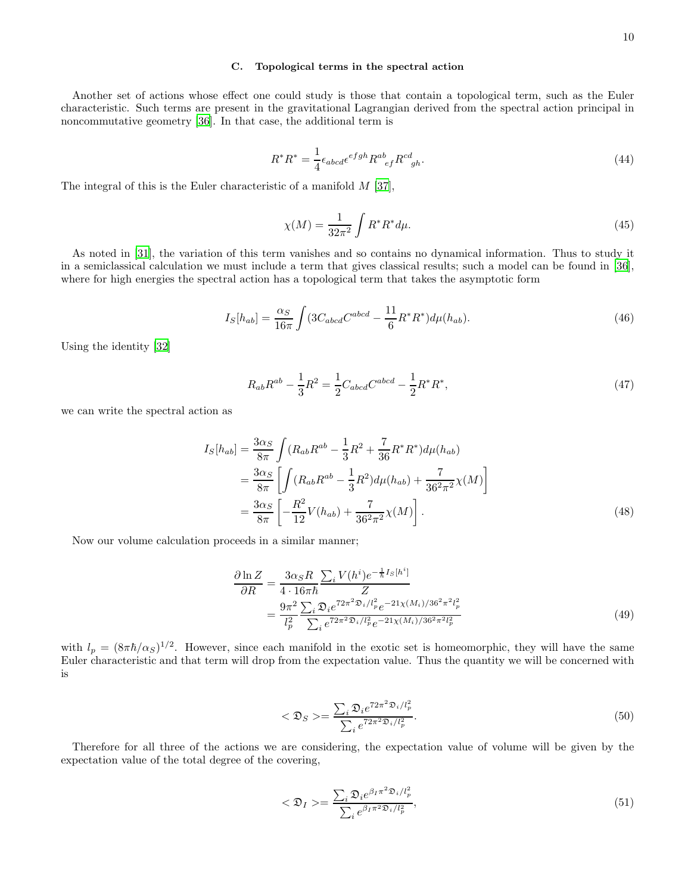### C. Topological terms in the spectral action

Another set of actions whose effect one could study is those that contain a topological term, such as the Euler characteristic. Such terms are present in the gravitational Lagrangian derived from the spectral action principal in noncommutative geometry [\[36\]](#page-18-9). In that case, the additional term is

$$
R^*R^* = \frac{1}{4} \epsilon_{abcd} \epsilon^{efgh} R^{ab}_{\ \ ef} R^{cd}_{\ \ gh}. \tag{44}
$$

The integral of this is the Euler characteristic of a manifold  $M$  [\[37\]](#page-18-10),

$$
\chi(M) = \frac{1}{32\pi^2} \int R^* R^* d\mu.
$$
\n(45)

As noted in [\[31\]](#page-18-4), the variation of this term vanishes and so contains no dynamical information. Thus to study it in a semiclassical calculation we must include a term that gives classical results; such a model can be found in [\[36\]](#page-18-9), where for high energies the spectral action has a topological term that takes the asymptotic form

$$
I_S[h_{ab}] = \frac{\alpha_S}{16\pi} \int (3C_{abcd}C^{abcd} - \frac{11}{6}R^*R^*)d\mu(h_{ab}).
$$
\n(46)

Using the identity [\[32\]](#page-18-5)

<span id="page-10-0"></span>
$$
R_{ab}R^{ab} - \frac{1}{3}R^2 = \frac{1}{2}C_{abcd}C^{abcd} - \frac{1}{2}R^*R^*,\tag{47}
$$

we can write the spectral action as

$$
I_S[h_{ab}] = \frac{3\alpha_S}{8\pi} \int (R_{ab}R^{ab} - \frac{1}{3}R^2 + \frac{7}{36}R^*R^*)d\mu(h_{ab})
$$
  
=  $\frac{3\alpha_S}{8\pi} \left[ \int (R_{ab}R^{ab} - \frac{1}{3}R^2)d\mu(h_{ab}) + \frac{7}{36^2\pi^2}\chi(M) \right]$   
=  $\frac{3\alpha_S}{8\pi} \left[ -\frac{R^2}{12}V(h_{ab}) + \frac{7}{36^2\pi^2}\chi(M) \right].$  (48)

Now our volume calculation proceeds in a similar manner;

$$
\frac{\partial \ln Z}{\partial R} = \frac{3\alpha_S R}{4 \cdot 16\pi\hbar} \frac{\sum_i V(h^i) e^{-\frac{1}{\hbar}I_S[h^i]}}{Z}
$$
\n
$$
= \frac{9\pi^2}{l_p^2} \frac{\sum_i \mathfrak{D}_i e^{72\pi^2 \mathfrak{D}_i/l_p^2} e^{-21\chi(M_i)/36^2 \pi^2 l_p^2}}{\sum_i e^{72\pi^2 \mathfrak{D}_i/l_p^2} e^{-21\chi(M_i)/36^2 \pi^2 l_p^2}}
$$
\n(49)

with  $l_p = (8\pi\hbar/\alpha_S)^{1/2}$ . However, since each manifold in the exotic set is homeomorphic, they will have the same Euler characteristic and that term will drop from the expectation value. Thus the quantity we will be concerned with is

$$
\langle \mathfrak{D}_S \rangle = \frac{\sum_i \mathfrak{D}_i e^{72\pi^2 \mathfrak{D}_i / l_p^2}}{\sum_i e^{72\pi^2 \mathfrak{D}_i / l_p^2}}.
$$
\n(50)

Therefore for all three of the actions we are considering, the expectation value of volume will be given by the expectation value of the total degree of the covering,

$$
\langle \mathfrak{D}_I \rangle = \frac{\sum_i \mathfrak{D}_i e^{\beta_I \pi^2 \mathfrak{D}_i / l_p^2}}{\sum_i e^{\beta_I \pi^2 \mathfrak{D}_i / l_p^2}},\tag{51}
$$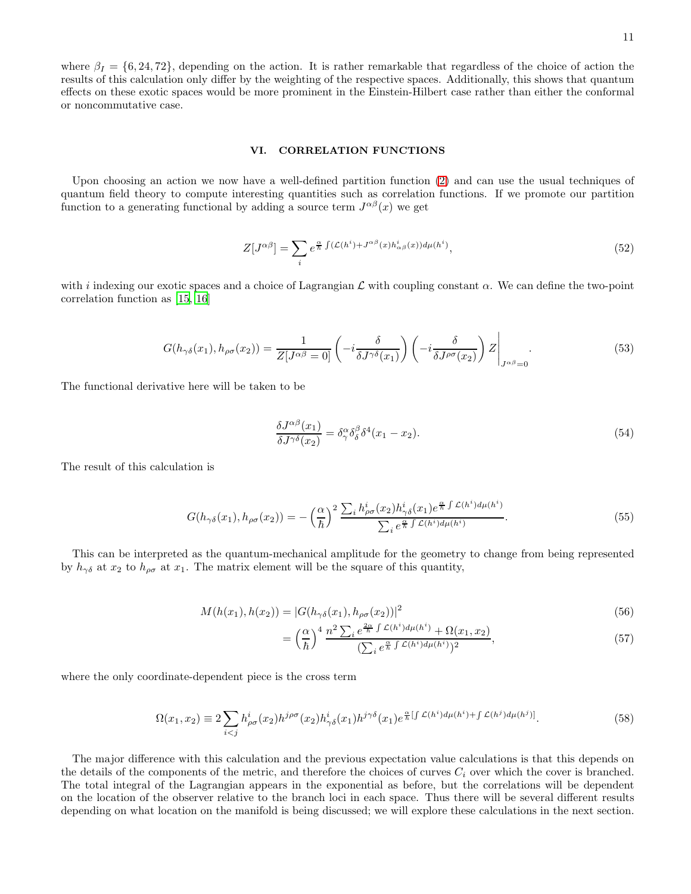where  $\beta_I = \{6, 24, 72\}$ , depending on the action. It is rather remarkable that regardless of the choice of action the results of this calculation only differ by the weighting of the respective spaces. Additionally, this shows that quantum effects on these exotic spaces would be more prominent in the Einstein-Hilbert case rather than either the conformal or noncommutative case.

#### <span id="page-11-0"></span>VI. CORRELATION FUNCTIONS

Upon choosing an action we now have a well-defined partition function [\(2\)](#page-3-2) and can use the usual techniques of quantum field theory to compute interesting quantities such as correlation functions. If we promote our partition function to a generating functional by adding a source term  $J^{\alpha\beta}(x)$  we get

$$
Z[J^{\alpha\beta}] = \sum_{i} e^{\frac{\alpha}{\hbar} \int (\mathcal{L}(h^{i}) + J^{\alpha\beta}(x) h^{i}_{\alpha\beta}(x)) d\mu(h^{i})}, \qquad (52)
$$

with i indexing our exotic spaces and a choice of Lagrangian  $\mathcal L$  with coupling constant  $\alpha$ . We can define the two-point correlation function as [\[15,](#page-17-24) [16\]](#page-17-13)

$$
G(h_{\gamma\delta}(x_1), h_{\rho\sigma}(x_2)) = \frac{1}{Z[J^{\alpha\beta} = 0]} \left( -i \frac{\delta}{\delta J^{\gamma\delta}(x_1)} \right) \left( -i \frac{\delta}{\delta J^{\rho\sigma}(x_2)} \right) Z \Big|_{J^{\alpha\beta} = 0}.
$$
 (53)

The functional derivative here will be taken to be

$$
\frac{\delta J^{\alpha\beta}(x_1)}{\delta J^{\gamma\delta}(x_2)} = \delta^{\alpha}_{\gamma} \delta^{\beta}_{\delta} \delta^4(x_1 - x_2). \tag{54}
$$

The result of this calculation is

<span id="page-11-1"></span>
$$
G(h_{\gamma\delta}(x_1), h_{\rho\sigma}(x_2)) = -\left(\frac{\alpha}{\hbar}\right)^2 \frac{\sum_i h_{\rho\sigma}^i(x_2) h_{\gamma\delta}^i(x_1) e^{\frac{\alpha}{\hbar} \int \mathcal{L}(h^i) d\mu(h^i)}}{\sum_i e^{\frac{\alpha}{\hbar} \int \mathcal{L}(h^i) d\mu(h^i)}}.
$$
\n(55)

This can be interpreted as the quantum-mechanical amplitude for the geometry to change from being represented by  $h_{\gamma\delta}$  at  $x_2$  to  $h_{\rho\sigma}$  at  $x_1$ . The matrix element will be the square of this quantity,

$$
M(h(x_1), h(x_2)) = |G(h_{\gamma\delta}(x_1), h_{\rho\sigma}(x_2))|^2
$$
\n(56)

$$
= \left(\frac{\alpha}{\hbar}\right)^4 \frac{n^2 \sum_i e^{\frac{2\alpha}{\hbar} \int \mathcal{L}(h^i) d\mu(h^i)} + \Omega(x_1, x_2)}{\left(\sum_i e^{\frac{\alpha}{\hbar} \int \mathcal{L}(h^i) d\mu(h^i)}\right)^2},\tag{57}
$$

where the only coordinate-dependent piece is the cross term

<span id="page-11-2"></span>
$$
\Omega(x_1, x_2) \equiv 2 \sum_{i < j} h_{\rho\sigma}^i(x_2) h^{j\rho\sigma}(x_2) h_{\gamma\delta}^i(x_1) h^{j\gamma\delta}(x_1) e^{\frac{\alpha}{h} \left[ \int \mathcal{L}(h^i) d\mu(h^i) + \int \mathcal{L}(h^j) d\mu(h^j) \right]} . \tag{58}
$$

The major difference with this calculation and the previous expectation value calculations is that this depends on the details of the components of the metric, and therefore the choices of curves  $C_i$  over which the cover is branched. The total integral of the Lagrangian appears in the exponential as before, but the correlations will be dependent on the location of the observer relative to the branch loci in each space. Thus there will be several different results depending on what location on the manifold is being discussed; we will explore these calculations in the next section.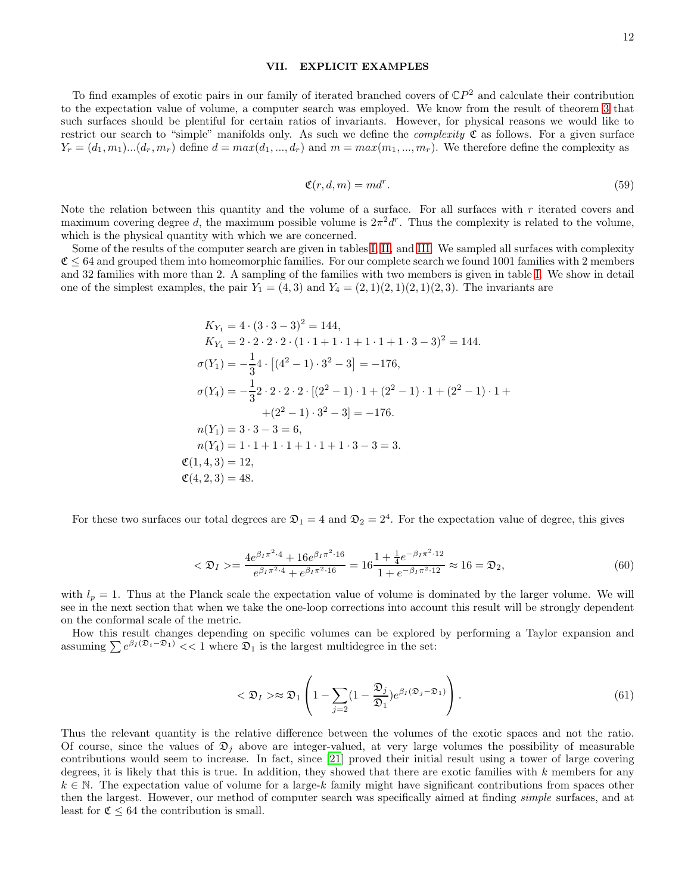#### <span id="page-12-0"></span>VII. EXPLICIT EXAMPLES

To find examples of exotic pairs in our family of iterated branched covers of  $\mathbb{C}P^2$  and calculate their contribution to the expectation value of volume, a computer search was employed. We know from the result of theorem [3](#page-4-2) that such surfaces should be plentiful for certain ratios of invariants. However, for physical reasons we would like to restrict our search to "simple" manifolds only. As such we define the *complexity*  $\mathfrak C$  as follows. For a given surface  $Y_r = (d_1, m_1) \dots (d_r, m_r)$  define  $d = max(d_1, ..., d_r)$  and  $m = max(m_1, ..., m_r)$ . We therefore define the complexity as

$$
\mathfrak{C}(r,d,m) = md^r. \tag{59}
$$

Note the relation between this quantity and the volume of a surface. For all surfaces with  $r$  iterated covers and maximum covering degree d, the maximum possible volume is  $2\pi^2 d^r$ . Thus the complexity is related to the volume, which is the physical quantity with which we are concerned.

Some of the results of the computer search are given in tables [I,](#page-19-0) [II,](#page-19-1) and [III.](#page-20-0) We sampled all surfaces with complexity  $C \leq 64$  and grouped them into homeomorphic families. For our complete search we found 1001 families with 2 members and 32 families with more than 2. A sampling of the families with two members is given in table [I.](#page-19-0) We show in detail one of the simplest examples, the pair  $Y_1 = (4, 3)$  and  $Y_4 = (2, 1)(2, 1)(2, 1)(2, 3)$ . The invariants are

$$
K_{Y_1} = 4 \cdot (3 \cdot 3 - 3)^2 = 144,
$$
  
\n
$$
K_{Y_4} = 2 \cdot 2 \cdot 2 \cdot 2 \cdot (1 \cdot 1 + 1 \cdot 1 + 1 \cdot 1 + 1 \cdot 3 - 3)^2 = 144.
$$
  
\n
$$
\sigma(Y_1) = -\frac{1}{3}4 \cdot [(4^2 - 1) \cdot 3^2 - 3] = -176,
$$
  
\n
$$
\sigma(Y_4) = -\frac{1}{3}2 \cdot 2 \cdot 2 \cdot 2 \cdot [(2^2 - 1) \cdot 1 + (2^2 - 1) \cdot 1 + (2^2 - 1) \cdot 1 +
$$
  
\n
$$
+(2^2 - 1) \cdot 3^2 - 3] = -176.
$$
  
\n
$$
n(Y_1) = 3 \cdot 3 - 3 = 6,
$$
  
\n
$$
n(Y_4) = 1 \cdot 1 + 1 \cdot 1 + 1 \cdot 1 + 1 \cdot 3 - 3 = 3.
$$
  
\n
$$
\mathfrak{C}(1, 4, 3) = 12,
$$
  
\n
$$
\mathfrak{C}(4, 2, 3) = 48.
$$

For these two surfaces our total degrees are  $\mathfrak{D}_1 = 4$  and  $\mathfrak{D}_2 = 2^4$ . For the expectation value of degree, this gives

$$
\langle \mathfrak{D}_I \rangle = \frac{4e^{\beta_I \pi^2 \cdot 4} + 16e^{\beta_I \pi^2 \cdot 16}}{e^{\beta_I \pi^2 \cdot 4} + e^{\beta_I \pi^2 \cdot 16}} = 16 \frac{1 + \frac{1}{4}e^{-\beta_I \pi^2 \cdot 12}}{1 + e^{-\beta_I \pi^2 \cdot 12}} \approx 16 = \mathfrak{D}_2,\tag{60}
$$

with  $l_p = 1$ . Thus at the Planck scale the expectation value of volume is dominated by the larger volume. We will see in the next section that when we take the one-loop corrections into account this result will be strongly dependent on the conformal scale of the metric.

How this result changes depending on specific volumes can be explored by performing a Taylor expansion and assuming  $\sum e^{\beta I (\mathfrak{D}_i - \mathfrak{D}_1)} \leq 1$  where  $\mathfrak{D}_1$  is the largest multidegree in the set:

$$
\langle \mathfrak{D}_I \rangle \approx \mathfrak{D}_1 \left( 1 - \sum_{j=2} (1 - \frac{\mathfrak{D}_j}{\mathfrak{D}_1}) e^{\beta_I (\mathfrak{D}_j - \mathfrak{D}_1)} \right). \tag{61}
$$

Thus the relevant quantity is the relative difference between the volumes of the exotic spaces and not the ratio. Of course, since the values of  $\mathfrak{D}_j$  above are integer-valued, at very large volumes the possibility of measurable contributions would seem to increase. In fact, since [\[21](#page-17-18)] proved their initial result using a tower of large covering degrees, it is likely that this is true. In addition, they showed that there are exotic families with  $k$  members for any  $k \in \mathbb{N}$ . The expectation value of volume for a large-k family might have significant contributions from spaces other then the largest. However, our method of computer search was specifically aimed at finding *simple* surfaces, and at least for  $\mathfrak{C} \leq 64$  the contribution is small.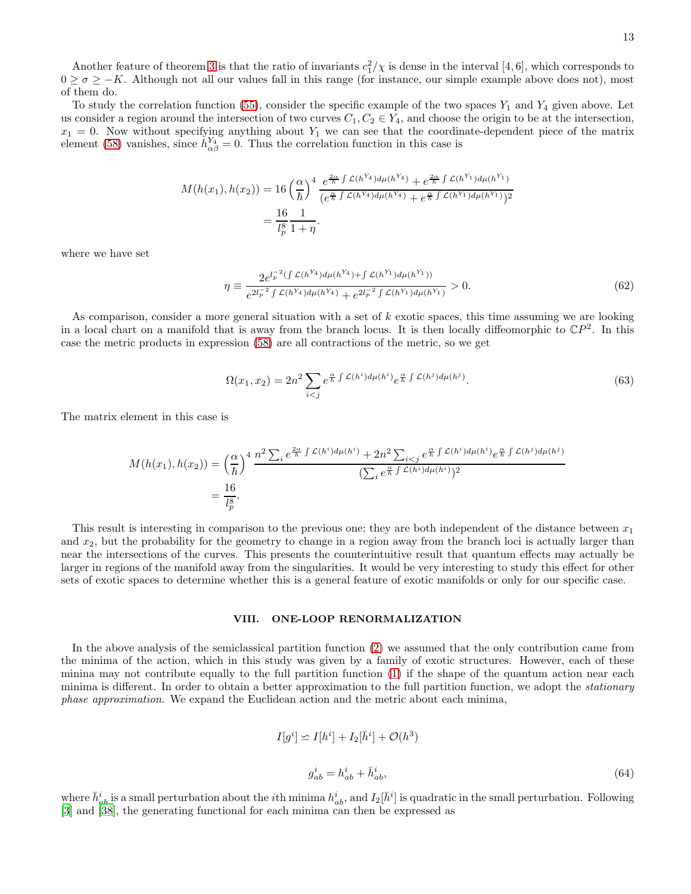Another feature of theorem [3](#page-4-2) is that the ratio of invariants  $c_1^2/\chi$  is dense in the interval [4, 6], which corresponds to  $0 \ge \sigma \ge -K$ . Although not all our values fall in this range (for instance, our simple example above does not), most of them do.

To study the correlation function [\(55\)](#page-11-1), consider the specific example of the two spaces  $Y_1$  and  $Y_4$  given above. Let us consider a region around the intersection of two curves  $C_1, C_2 \in Y_4$ , and choose the origin to be at the intersection,  $x_1 = 0$ . Now without specifying anything about  $Y_1$  we can see that the coordinate-dependent piece of the matrix element [\(58\)](#page-11-2) vanishes, since  $\dot{h}_{\alpha\beta}^{Y_4} = 0$ . Thus the correlation function in this case is

$$
M(h(x_1), h(x_2)) = 16 \left(\frac{\alpha}{\hbar}\right)^4 \frac{e^{\frac{2\alpha}{\hbar} \int \mathcal{L}(h^{Y_4}) d\mu(h^{Y_4})} + e^{\frac{2\alpha}{\hbar} \int \mathcal{L}(h^{Y_1}) d\mu(h^{Y_1})}}{(e^{\frac{\alpha}{\hbar} \int \mathcal{L}(h^{Y_4}) d\mu(h^{Y_4})} + e^{\frac{\alpha}{\hbar} \int \mathcal{L}(h^{Y_1}) d\mu(h^{Y_1})})^2}
$$
  
=  $\frac{16}{l_p^8} \frac{1}{1 + \eta}.$ 

where we have set

$$
\eta \equiv \frac{2e^{l_p^{-2}(\int \mathcal{L}(h^{Y_4})d\mu(h^{Y_4}) + \int \mathcal{L}(h^{Y_1})d\mu(h^{Y_1}))}}{e^{2l_p^{-2}\int \mathcal{L}(h^{Y_4})d\mu(h^{Y_4}) + e^{2l_p^{-2}\int \mathcal{L}(h^{Y_1})d\mu(h^{Y_1})}} > 0.
$$
\n(62)

As comparison, consider a more general situation with a set of  $k$  exotic spaces, this time assuming we are looking in a local chart on a manifold that is away from the branch locus. It is then locally diffeomorphic to  $\mathbb{C}P^2$ . In this case the metric products in expression [\(58\)](#page-11-2) are all contractions of the metric, so we get

$$
\Omega(x_1, x_2) = 2n^2 \sum_{i < j} e^{\frac{\alpha}{\hbar} \int \mathcal{L}(h^i) d\mu(h^i)} e^{\frac{\alpha}{\hbar} \int \mathcal{L}(h^j) d\mu(h^j)}.
$$
\n
$$
\tag{63}
$$

The matrix element in this case is

$$
M(h(x_1), h(x_2)) = \left(\frac{\alpha}{\hbar}\right)^4 \frac{n^2 \sum_i e^{\frac{2\alpha}{\hbar} \int \mathcal{L}(h^i) d\mu(h^i)} + 2n^2 \sum_{i < j} e^{\frac{\alpha}{\hbar} \int \mathcal{L}(h^i) d\mu(h^i)} e^{\frac{\alpha}{\hbar} \int \mathcal{L}(h^j) d\mu(h^j)}}{(\sum_i e^{\frac{\alpha}{\hbar} \int \mathcal{L}(h^i) d\mu(h^i)})^2}
$$
\n
$$
= \frac{16}{l_p^8}.
$$

This result is interesting in comparison to the previous one; they are both independent of the distance between  $x_1$ and  $x_2$ , but the probability for the geometry to change in a region away from the branch loci is actually larger than near the intersections of the curves. This presents the counterintuitive result that quantum effects may actually be larger in regions of the manifold away from the singularities. It would be very interesting to study this effect for other sets of exotic spaces to determine whether this is a general feature of exotic manifolds or only for our specific case.

#### <span id="page-13-0"></span>VIII. ONE-LOOP RENORMALIZATION

In the above analysis of the semiclassical partition function [\(2\)](#page-3-2) we assumed that the only contribution came from the minima of the action, which in this study was given by a family of exotic structures. However, each of these minina may not contribute equally to the full partition function [\(1\)](#page-2-0) if the shape of the quantum action near each minima is different. In order to obtain a better approximation to the full partition function, we adopt the *stationary* phase approximation. We expand the Euclidean action and the metric about each minima,

$$
I[g^i] \simeq I[h^i] + I_2[\bar{h}^i] + \mathcal{O}(h^3)
$$
  

$$
g^i_{ab} = h^i_{ab} + \bar{h}^i_{ab},
$$
 (64)

where  $\bar{h}_{ab}^i$  is a small perturbation about the *i*th minima  $h_{ab}^i$ , and  $I_2[\bar{h}^i]$  is quadratic in the small perturbation. Following [\[3\]](#page-17-2) and [\[38\]](#page-18-11), the generating functional for each minima can then be expressed as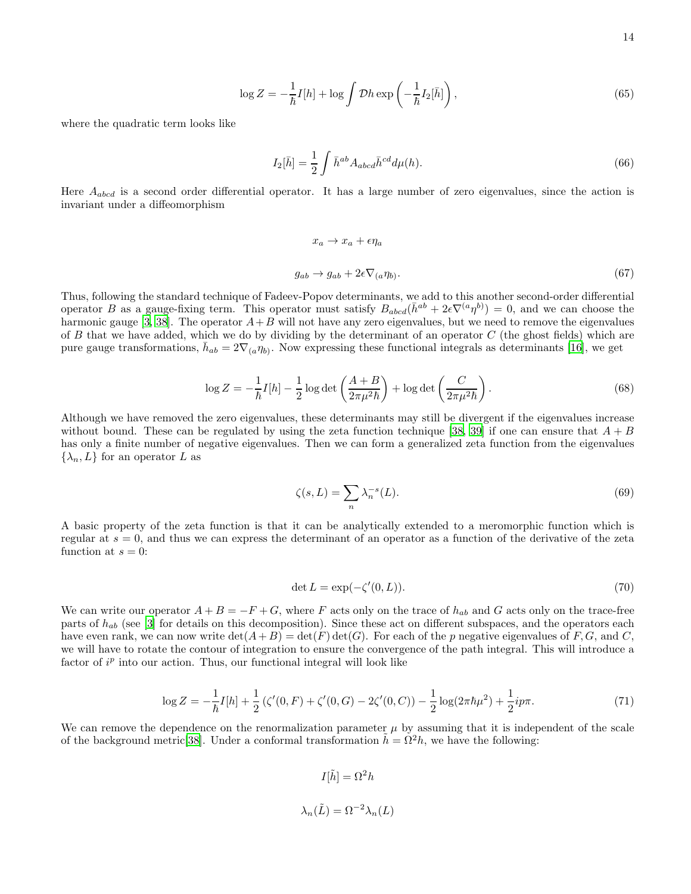$$
\log Z = -\frac{1}{\hbar}I[h] + \log \int \mathcal{D}h \exp\left(-\frac{1}{\hbar}I_2[\bar{h}]\right),\tag{65}
$$

where the quadratic term looks like

$$
I_2[\bar{h}] = \frac{1}{2} \int \bar{h}^{ab} A_{abcd} \bar{h}^{cd} d\mu(h).
$$
 (66)

Here  $A_{abcd}$  is a second order differential operator. It has a large number of zero eigenvalues, since the action is invariant under a diffeomorphism

$$
x_a \to x_a + \epsilon \eta_a
$$
  
\n
$$
g_{ab} \to g_{ab} + 2\epsilon \nabla_{(a} \eta_b).
$$
\n(67)

Thus, following the standard technique of Fadeev-Popov determinants, we add to this another second-order differential operator B as a gauge-fixing term. This operator must satisfy  $B_{abcd}(\bar{h}^{ab} + 2\epsilon \nabla^{(a}\eta^{b)}) = 0$ , and we can choose the harmonic gauge [\[3,](#page-17-2) [38](#page-18-11)]. The operator  $A+B$  will not have any zero eigenvalues, but we need to remove the eigenvalues of B that we have added, which we do by dividing by the determinant of an operator  $C$  (the ghost fields) which are pure gauge transformations,  $\bar{h}_{ab} = 2\nabla_{(a}\eta_{b)}$ . Now expressing these functional integrals as determinants [\[16\]](#page-17-13), we get

$$
\log Z = -\frac{1}{\hbar}I[h] - \frac{1}{2}\log \det \left(\frac{A+B}{2\pi\mu^2\hbar}\right) + \log \det \left(\frac{C}{2\pi\mu^2\hbar}\right). \tag{68}
$$

Although we have removed the zero eigenvalues, these determinants may still be divergent if the eigenvalues increase without bound. These can be regulated by using the zeta function technique [\[38,](#page-18-11) [39\]](#page-18-12) if one can ensure that  $A + B$ has only a finite number of negative eigenvalues. Then we can form a generalized zeta function from the eigenvalues  $\{\lambda_n, L\}$  for an operator L as

$$
\zeta(s,L) = \sum_{n} \lambda_n^{-s}(L). \tag{69}
$$

A basic property of the zeta function is that it can be analytically extended to a meromorphic function which is regular at  $s = 0$ , and thus we can express the determinant of an operator as a function of the derivative of the zeta function at  $s = 0$ :

$$
\det L = \exp(-\zeta'(0, L)).\tag{70}
$$

We can write our operator  $A + B = -F + G$ , where F acts only on the trace of  $h_{ab}$  and G acts only on the trace-free parts of  $h_{ab}$  (see [\[3](#page-17-2)] for details on this decomposition). Since these act on different subspaces, and the operators each have even rank, we can now write  $\det(A+B) = \det(F) \det(G)$ . For each of the p negative eigenvalues of F, G, and C, we will have to rotate the contour of integration to ensure the convergence of the path integral. This will introduce a factor of  $i^p$  into our action. Thus, our functional integral will look like

$$
\log Z = -\frac{1}{\hbar}I[h] + \frac{1}{2}(\zeta'(0,F) + \zeta'(0,G) - 2\zeta'(0,C)) - \frac{1}{2}\log(2\pi\hbar\mu^2) + \frac{1}{2}ip\pi.
$$
\n(71)

We can remove the dependence on the renormalization parameter  $\mu$  by assuming that it is independent of the scale of the background metric [\[38\]](#page-18-11). Under a conformal transformation  $h = \Omega^2 h$ , we have the following:

$$
I[\tilde{h}] = \Omega^2 h
$$
  

$$
\lambda_n(\tilde{L}) = \Omega^{-2} \lambda_n(L)
$$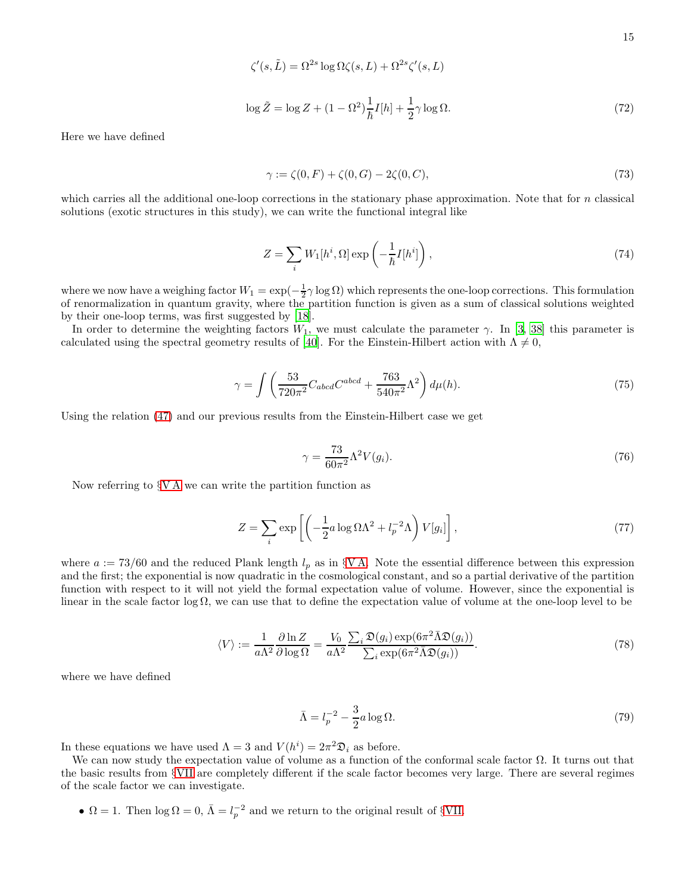$$
\zeta'(s,\tilde{L}) = \Omega^{2s} \log \Omega \zeta(s,L) + \Omega^{2s} \zeta'(s,L)
$$
  

$$
\log \tilde{Z} = \log Z + (1 - \Omega^2) \frac{1}{\hbar} I[h] + \frac{1}{2} \gamma \log \Omega.
$$
 (72)

Here we have defined

$$
\gamma := \zeta(0, F) + \zeta(0, G) - 2\zeta(0, C),\tag{73}
$$

which carries all the additional one-loop corrections in the stationary phase approximation. Note that for  $n$  classical solutions (exotic structures in this study), we can write the functional integral like

$$
Z = \sum_{i} W_1[h^i, \Omega] \exp\left(-\frac{1}{\hbar}I[h^i]\right),\tag{74}
$$

where we now have a weighing factor  $W_1 = \exp(-\frac{1}{2}\gamma \log \Omega)$  which represents the one-loop corrections. This formulation of renormalization in quantum gravity, where the partition function is given as a sum of classical solutions weighted by their one-loop terms, was first suggested by [\[18\]](#page-17-15).

In order to determine the weighting factors  $W_1$ , we must calculate the parameter  $\gamma$ . In [\[3,](#page-17-2) [38\]](#page-18-11) this parameter is calculated using the spectral geometry results of [\[40\]](#page-18-13). For the Einstein-Hilbert action with  $\Lambda \neq 0$ ,

$$
\gamma = \int \left( \frac{53}{720\pi^2} C_{abcd} C^{abcd} + \frac{763}{540\pi^2} \Lambda^2 \right) d\mu(h).
$$
 (75)

Using the relation [\(47\)](#page-10-0) and our previous results from the Einstein-Hilbert case we get

$$
\gamma = \frac{73}{60\pi^2} \Lambda^2 V(g_i). \tag{76}
$$

Now referring to §[V A](#page-7-1) we can write the partition function as

$$
Z = \sum_{i} \exp\left[ \left( -\frac{1}{2} a \log \Omega \Lambda^2 + l_p^{-2} \Lambda \right) V[g_i] \right],\tag{77}
$$

where  $a := 73/60$  and the reduced Plank length  $l_p$  as in §[V A.](#page-7-1) Note the essential difference between this expression and the first; the exponential is now quadratic in the cosmological constant, and so a partial derivative of the partition function with respect to it will not yield the formal expectation value of volume. However, since the exponential is linear in the scale factor log  $\Omega$ , we can use that to define the expectation value of volume at the one-loop level to be

$$
\langle V \rangle := \frac{1}{a\Lambda^2} \frac{\partial \ln Z}{\partial \log \Omega} = \frac{V_0}{a\Lambda^2} \frac{\sum_i \mathfrak{D}(g_i) \exp(6\pi^2 \overline{\Lambda} \mathfrak{D}(g_i))}{\sum_i \exp(6\pi^2 \overline{\Lambda} \mathfrak{D}(g_i))}.
$$
(78)

where we have defined

$$
\bar{\Lambda} = l_p^{-2} - \frac{3}{2}a \log \Omega. \tag{79}
$$

In these equations we have used  $\Lambda = 3$  and  $V(h^i) = 2\pi^2 \mathfrak{D}_i$  as before.

We can now study the expectation value of volume as a function of the conformal scale factor  $\Omega$ . It turns out that the basic results from §[VII](#page-12-0) are completely different if the scale factor becomes very large. There are several regimes of the scale factor we can investigate.

•  $\Omega = 1$ . Then  $\log \Omega = 0$ ,  $\bar{\Lambda} = l_p^{-2}$  and we return to the original result of §[VII.](#page-12-0)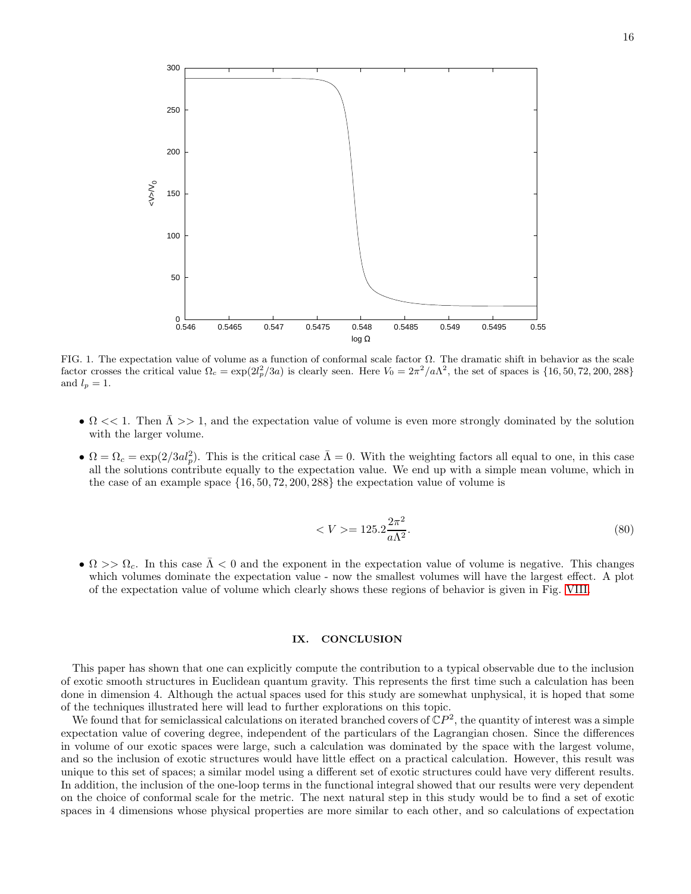

FIG. 1. The expectation value of volume as a function of conformal scale factor  $\Omega$ . The dramatic shift in behavior as the scale factor crosses the critical value  $\Omega_c = \exp(2l_p^2/3a)$  is clearly seen. Here  $V_0 = 2\pi^2/a\Lambda^2$ , the set of spaces is  $\{16, 50, 72, 200, 288\}$ and  $l_p = 1$ .

- $\Omega$  < 1. Then  $\overline{\Lambda}$  > 1, and the expectation value of volume is even more strongly dominated by the solution with the larger volume.
- $\Omega = \Omega_c = \exp(2/3al_p^2)$ . This is the critical case  $\overline{\Lambda} = 0$ . With the weighting factors all equal to one, in this case all the solutions contribute equally to the expectation value. We end up with a simple mean volume, which in the case of an example space  $\{16, 50, 72, 200, 288\}$  the expectation value of volume is

<span id="page-16-0"></span>
$$
\langle V \rangle = 125.2 \frac{2\pi^2}{a\Lambda^2}.\tag{80}
$$

•  $\Omega$  >>  $\Omega_c$ . In this case  $\overline{\Lambda}$  < 0 and the exponent in the expectation value of volume is negative. This changes which volumes dominate the expectation value - now the smallest volumes will have the largest effect. A plot of the expectation value of volume which clearly shows these regions of behavior is given in Fig. [VIII.](#page-16-0)

## IX. CONCLUSION

This paper has shown that one can explicitly compute the contribution to a typical observable due to the inclusion of exotic smooth structures in Euclidean quantum gravity. This represents the first time such a calculation has been done in dimension 4. Although the actual spaces used for this study are somewhat unphysical, it is hoped that some of the techniques illustrated here will lead to further explorations on this topic.

We found that for semiclassical calculations on iterated branched covers of  $\mathbb{C}P^2$ , the quantity of interest was a simple expectation value of covering degree, independent of the particulars of the Lagrangian chosen. Since the differences in volume of our exotic spaces were large, such a calculation was dominated by the space with the largest volume, and so the inclusion of exotic structures would have little effect on a practical calculation. However, this result was unique to this set of spaces; a similar model using a different set of exotic structures could have very different results. In addition, the inclusion of the one-loop terms in the functional integral showed that our results were very dependent on the choice of conformal scale for the metric. The next natural step in this study would be to find a set of exotic spaces in 4 dimensions whose physical properties are more similar to each other, and so calculations of expectation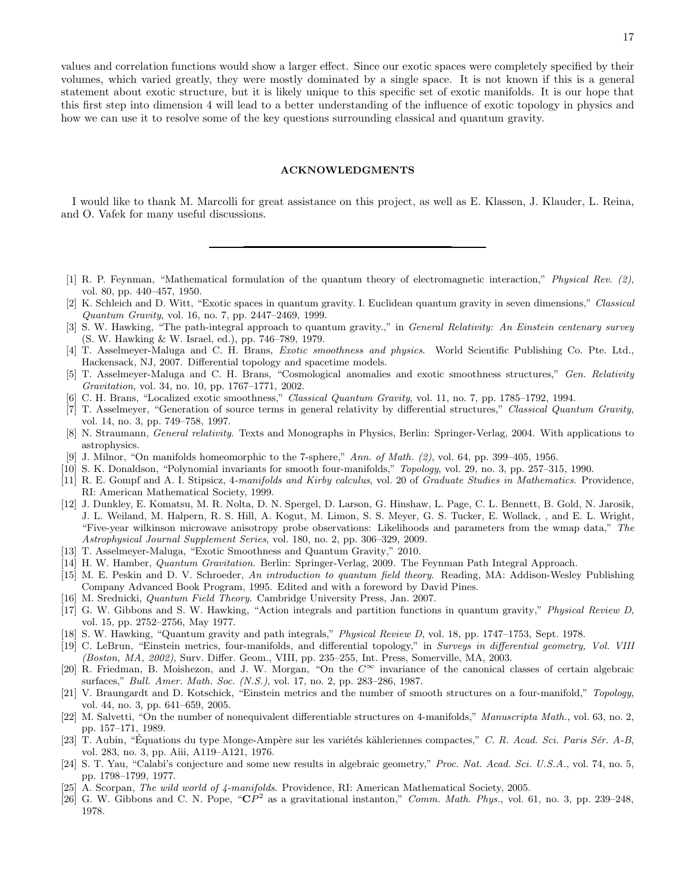values and correlation functions would show a larger effect. Since our exotic spaces were completely specified by their volumes, which varied greatly, they were mostly dominated by a single space. It is not known if this is a general statement about exotic structure, but it is likely unique to this specific set of exotic manifolds. It is our hope that this first step into dimension 4 will lead to a better understanding of the influence of exotic topology in physics and how we can use it to resolve some of the key questions surrounding classical and quantum gravity.

#### ACKNOWLEDGMENTS

I would like to thank M. Marcolli for great assistance on this project, as well as E. Klassen, J. Klauder, L. Reina, and O. Vafek for many useful discussions.

- <span id="page-17-0"></span>[1] R. P. Feynman, "Mathematical formulation of the quantum theory of electromagnetic interaction," Physical Rev. (2), vol. 80, pp. 440–457, 1950.
- <span id="page-17-1"></span>[2] K. Schleich and D. Witt, "Exotic spaces in quantum gravity. I. Euclidean quantum gravity in seven dimensions," Classical Quantum Gravity, vol. 16, no. 7, pp. 2447–2469, 1999.
- <span id="page-17-2"></span>[3] S. W. Hawking, "The path-integral approach to quantum gravity.," in General Relativity: An Einstein centenary survey (S. W. Hawking & W. Israel, ed.), pp. 746–789, 1979.
- <span id="page-17-3"></span>[4] T. Asselmeyer-Maluga and C. H. Brans, *Exotic smoothness and physics*. World Scientific Publishing Co. Pte. Ltd., Hackensack, NJ, 2007. Differential topology and spacetime models.
- [5] T. Asselmeyer-Maluga and C. H. Brans, "Cosmological anomalies and exotic smoothness structures," Gen. Relativity Gravitation, vol. 34, no. 10, pp. 1767–1771, 2002.
- <span id="page-17-10"></span>[6] C. H. Brans, "Localized exotic smoothness," Classical Quantum Gravity, vol. 11, no. 7, pp. 1785–1792, 1994.
- <span id="page-17-4"></span>[7] T. Asselmeyer, "Generation of source terms in general relativity by differential structures," Classical Quantum Gravity, vol. 14, no. 3, pp. 749–758, 1997.
- <span id="page-17-5"></span>[8] N. Straumann, General relativity. Texts and Monographs in Physics, Berlin: Springer-Verlag, 2004. With applications to astrophysics.
- <span id="page-17-6"></span>[9] J. Milnor, "On manifolds homeomorphic to the 7-sphere," Ann. of Math. (2), vol. 64, pp. 399–405, 1956.
- <span id="page-17-7"></span>[10] S. K. Donaldson, "Polynomial invariants for smooth four-manifolds," Topology, vol. 29, no. 3, pp. 257–315, 1990.
- <span id="page-17-8"></span>[11] R. E. Gompf and A. I. Stipsicz, 4-manifolds and Kirby calculus, vol. 20 of Graduate Studies in Mathematics. Providence, RI: American Mathematical Society, 1999.
- <span id="page-17-9"></span>[12] J. Dunkley, E. Komatsu, M. R. Nolta, D. N. Spergel, D. Larson, G. Hinshaw, L. Page, C. L. Bennett, B. Gold, N. Jarosik, J. L. Weiland, M. Halpern, R. S. Hill, A. Kogut, M. Limon, S. S. Meyer, G. S. Tucker, E. Wollack, , and E. L. Wright, "Five-year wilkinson microwave anisotropy probe observations: Likelihoods and parameters from the wmap data," The Astrophysical Journal Supplement Series, vol. 180, no. 2, pp. 306–329, 2009.
- <span id="page-17-11"></span>[13] T. Asselmeyer-Maluga, "Exotic Smoothness and Quantum Gravity," 2010.
- <span id="page-17-12"></span>[14] H. W. Hamber, Quantum Gravitation. Berlin: Springer-Verlag, 2009. The Feynman Path Integral Approach.
- <span id="page-17-24"></span>[15] M. E. Peskin and D. V. Schroeder, An introduction to quantum field theory. Reading, MA: Addison-Wesley Publishing Company Advanced Book Program, 1995. Edited and with a foreword by David Pines.
- <span id="page-17-13"></span>[16] M. Srednicki, Quantum Field Theory. Cambridge University Press, Jan. 2007.
- <span id="page-17-14"></span>[17] G. W. Gibbons and S. W. Hawking, "Action integrals and partition functions in quantum gravity," Physical Review D, vol. 15, pp. 2752–2756, May 1977.
- <span id="page-17-15"></span>[18] S. W. Hawking, "Quantum gravity and path integrals," Physical Review D, vol. 18, pp. 1747–1753, Sept. 1978.
- <span id="page-17-16"></span>[19] C. LeBrun, "Einstein metrics, four-manifolds, and differential topology," in Surveys in differential geometry, Vol. VIII (Boston, MA, 2002), Surv. Differ. Geom., VIII, pp. 235–255, Int. Press, Somerville, MA, 2003.
- <span id="page-17-17"></span>[20] R. Friedman, B. Moishezon, and J. W. Morgan, "On the  $C^{\infty}$  invariance of the canonical classes of certain algebraic surfaces," Bull. Amer. Math. Soc. (N.S.), vol. 17, no. 2, pp. 283–286, 1987.
- <span id="page-17-18"></span>[21] V. Braungardt and D. Kotschick, "Einstein metrics and the number of smooth structures on a four-manifold," Topology, vol. 44, no. 3, pp. 641–659, 2005.
- <span id="page-17-19"></span>[22] M. Salvetti, "On the number of nonequivalent differentiable structures on 4-manifolds," Manuscripta Math., vol. 63, no. 2, pp. 157–171, 1989.
- <span id="page-17-20"></span>[23] T. Aubin, "Équations du type Monge-Ampère sur les variétés kähleriennes compactes," C. R. Acad. Sci. Paris Sér. A-B, vol. 283, no. 3, pp. Aiii, A119–A121, 1976.
- <span id="page-17-21"></span>[24] S. T. Yau, "Calabi's conjecture and some new results in algebraic geometry," Proc. Nat. Acad. Sci. U.S.A., vol. 74, no. 5, pp. 1798–1799, 1977.
- <span id="page-17-22"></span>[25] A. Scorpan, The wild world of 4-manifolds. Providence, RI: American Mathematical Society, 2005.
- <span id="page-17-23"></span>[26] G. W. Gibbons and C. N. Pope, " $\mathbb{C}P^2$  as a gravitational instanton," Comm. Math. Phys., vol. 61, no. 3, pp. 239–248, 1978.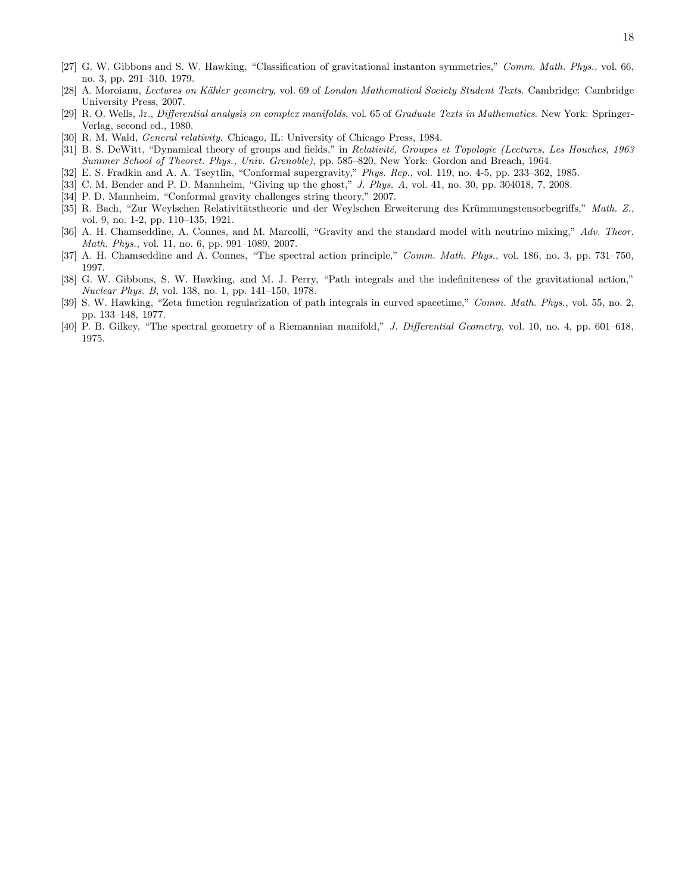- <span id="page-18-0"></span>[27] G. W. Gibbons and S. W. Hawking, "Classification of gravitational instanton symmetries," Comm. Math. Phys., vol. 66, no. 3, pp. 291–310, 1979.
- <span id="page-18-1"></span>[28] A. Moroianu, Lectures on Kähler geometry, vol. 69 of London Mathematical Society Student Texts. Cambridge: Cambridge University Press, 2007.
- <span id="page-18-2"></span>[29] R. O. Wells, Jr., Differential analysis on complex manifolds, vol. 65 of Graduate Texts in Mathematics. New York: Springer-Verlag, second ed., 1980.
- <span id="page-18-3"></span>[30] R. M. Wald, *General relativity*. Chicago, IL: University of Chicago Press, 1984.
- <span id="page-18-4"></span>[31] B. S. DeWitt, "Dynamical theory of groups and fields," in Relativité, Groupes et Topologie (Lectures, Les Houches, 1963 Summer School of Theoret. Phys., Univ. Grenoble), pp. 585–820, New York: Gordon and Breach, 1964.
- <span id="page-18-5"></span>[32] E. S. Fradkin and A. A. Tseytlin, "Conformal supergravity," Phys. Rep., vol. 119, no. 4-5, pp. 233–362, 1985.
- <span id="page-18-6"></span>[33] C. M. Bender and P. D. Mannheim, "Giving up the ghost," J. Phys. A, vol. 41, no. 30, pp. 304018, 7, 2008.
- <span id="page-18-7"></span>[34] P. D. Mannheim, "Conformal gravity challenges string theory," 2007.
- <span id="page-18-8"></span>[35] R. Bach, "Zur Weylschen Relativitätstheorie und der Weylschen Erweiterung des Krümmungstensorbegriffs," Math. Z., vol. 9, no. 1-2, pp. 110–135, 1921.
- <span id="page-18-9"></span>[36] A. H. Chamseddine, A. Connes, and M. Marcolli, "Gravity and the standard model with neutrino mixing," Adv. Theor. Math. Phys., vol. 11, no. 6, pp. 991–1089, 2007.
- <span id="page-18-10"></span>[37] A. H. Chamseddine and A. Connes, "The spectral action principle," Comm. Math. Phys., vol. 186, no. 3, pp. 731–750, 1997.
- <span id="page-18-11"></span>[38] G. W. Gibbons, S. W. Hawking, and M. J. Perry, "Path integrals and the indefiniteness of the gravitational action," Nuclear Phys. B, vol. 138, no. 1, pp. 141–150, 1978.
- <span id="page-18-12"></span>[39] S. W. Hawking, "Zeta function regularization of path integrals in curved spacetime," Comm. Math. Phys., vol. 55, no. 2, pp. 133–148, 1977.
- <span id="page-18-13"></span>[40] P. B. Gilkey, "The spectral geometry of a Riemannian manifold," J. Differential Geometry, vol. 10, no. 4, pp. 601–618, 1975.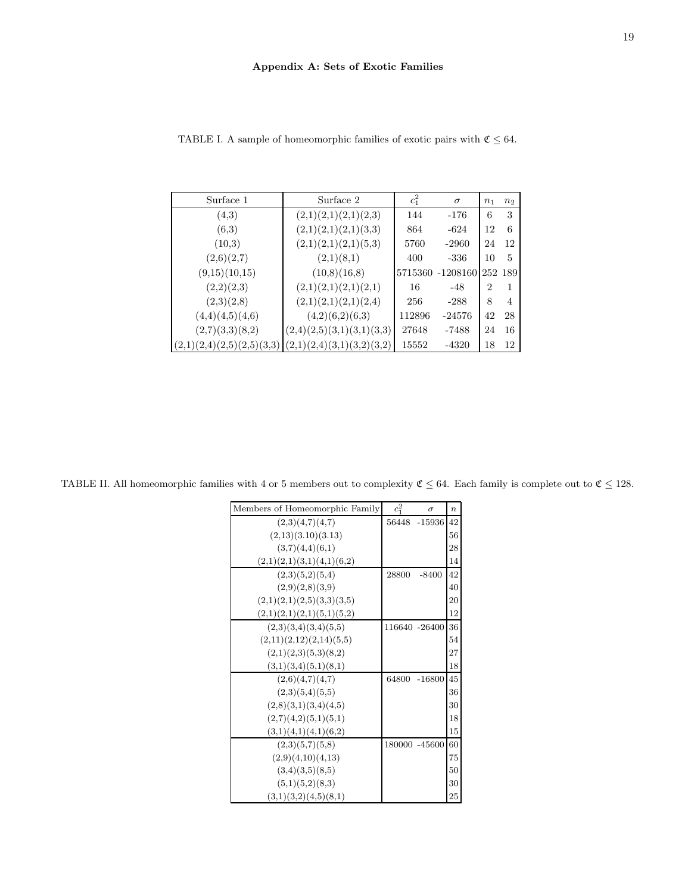| Surface 1                 | Surface 2                 | $c_1^2$ | $\sigma$         | n <sub>1</sub> | n <sub>2</sub> |
|---------------------------|---------------------------|---------|------------------|----------------|----------------|
| (4,3)                     | (2,1)(2,1)(2,1)(2,3)      | 144     | $-176$           | 6              | 3              |
| (6,3)                     | (2,1)(2,1)(2,1)(3,3)      | 864     | $-624$           | 12             | 6              |
| (10,3)                    | (2,1)(2,1)(2,1)(5,3)      | 5760    | $-2960$          | 24             | 12             |
| (2,6)(2,7)                | (2,1)(8,1)                | 400     | $-336$           | 10             | 5              |
| (9,15)(10,15)             | (10,8)(16,8)              |         | 5715360 -1208160 | 252 189        |                |
| (2,2)(2,3)                | (2,1)(2,1)(2,1)(2,1)      | 16      | $-48$            | $\overline{2}$ | 1              |
| (2,3)(2,8)                | (2,1)(2,1)(2,1)(2,4)      | 256     | $-288$           | 8              | 4              |
| (4,4)(4,5)(4,6)           | (4,2)(6,2)(6,3)           | 112896  | $-24576$         | 42             | 28             |
| (2,7)(3,3)(8,2)           | (2,4)(2,5)(3,1)(3,1)(3,3) | 27648   | $-7488$          | 24             | 16             |
| (2,1)(2,4)(2,5)(2,5)(3,3) | (2,1)(2,4)(3,1)(3,2)(3,2) | 15552   | $-4320$          | 18             | 12             |

<span id="page-19-0"></span>TABLE I. A sample of homeomorphic families of exotic pairs with  $\mathfrak{C}\leq 64.$ 

<span id="page-19-1"></span>TABLE II. All homeomorphic families with 4 or 5 members out to complexity  $\mathfrak{C} \leq 64$ . Each family is complete out to  $\mathfrak{C} \leq 128$ .

| Members of Homeomorphic Family | $c_1^2$ | $\sigma$      | $\boldsymbol{n}$ |
|--------------------------------|---------|---------------|------------------|
| (2,3)(4,7)(4,7)                | 56448   | $-15936$      | 42               |
| (2,13)(3.10)(3.13)             |         |               | 56               |
| (3,7)(4,4)(6,1)                |         |               | 28               |
| (2,1)(2,1)(3,1)(4,1)(6,2)      |         |               | 14               |
| (2,3)(5,2)(5,4)                | 28800   | $-8400$       | 42               |
| (2,9)(2,8)(3,9)                |         |               | 40               |
| (2,1)(2,1)(2,5)(3,3)(3,5)      |         |               | 20               |
| (2,1)(2,1)(2,1)(5,1)(5,2)      |         |               | 12               |
| (2,3)(3,4)(3,4)(5,5)           |         | 116640 -26400 | 36               |
| (2,11)(2,12)(2,14)(5,5)        |         |               | 54               |
| (2,1)(2,3)(5,3)(8,2)           |         |               | 27               |
| (3,1)(3,4)(5,1)(8,1)           |         |               | 18               |
| (2,6)(4,7)(4,7)                | 64800   | $-16800$      | 45               |
| (2,3)(5,4)(5,5)                |         |               | 36               |
| (2,8)(3,1)(3,4)(4,5)           |         |               | 30               |
| (2,7)(4,2)(5,1)(5,1)           |         |               | 18               |
| (3,1)(4,1)(4,1)(6,2)           |         |               | 15               |
| (2,3)(5,7)(5,8)                |         | 180000 -45600 | 60               |
| (2,9)(4,10)(4,13)              |         |               | 75               |
| (3,4)(3,5)(8,5)                |         |               | 50               |
| (5,1)(5,2)(8,3)                |         |               | 30               |
| (3,1)(3,2)(4,5)(8,1)           |         |               | 25               |